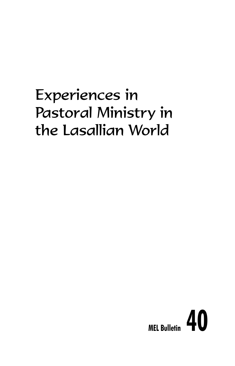# Experiences in Pastoral Ministry in the Lasallian World

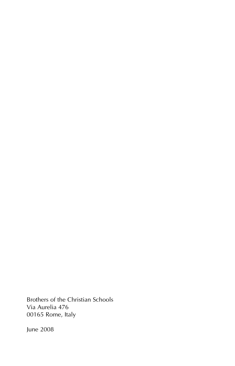Brothers of the Christian Schools Via Aurelia 476 00165 Rome, Italy

June 2008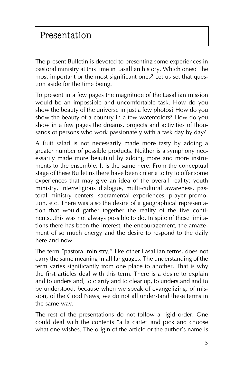The present Bulletin is devoted to presenting some experiences in pastoral ministry at this time in Lasallian history. Which ones? The most important or the most significant ones? Let us set that question aside for the time being.

To present in a few pages the magnitude of the Lasallian mission would be an impossible and uncomfortable task. How do you show the beauty of the universe in just a few photos? How do you show the beauty of a country in a few watercolors? How do you show in a few pages the dreams, projects and activities of thousands of persons who work passionately with a task day by day?

A fruit salad is not necessarily made more tasty by adding a greater number of possible products. Neither is a symphony necessarily made more beautiful by adding more and more instruments to the ensemble. It is the same here. From the conceptual stage of these Bulletins there have been criteria to try to offer some experiences that may give an idea of the overall reality: youth ministry, interreligious dialogue, multi-cultural awareness, pastoral ministry centers, sacramental experiences, prayer promotion, etc. There was also the desire of a geographical representation that would gather together the reality of the five continents...this was not always possible to do. In spite of these limitations there has been the interest, the encouragement, the amazement of so much energy and the desire to respond to the daily here and now.

The term "pastoral ministry," like other Lasallian terms, does not carry the same meaning in all languages. The understanding of the term varies significantly from one place to another. That is why the first articles deal with this term. There is a desire to explain and to understand, to clarify and to clear up, to understand and to be understood, because when we speak of evangelizing, of mission, of the Good News, we do not all understand these terms in the same way.

The rest of the presentations do not follow a rigid order. One could deal with the contents "a la carte" and pick and choose what one wishes. The origin of the article or the author's name is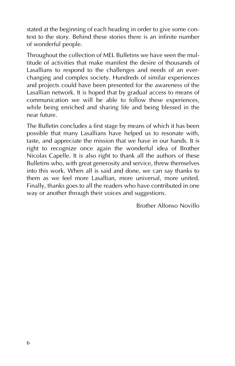stated at the beginning of each heading in order to give some context to the story. Behind these stories there is an infinite number of wonderful people.

Throughout the collection of MEL Bulletins we have seen the multitude of activities that make manifest the desire of thousands of Lasallians to respond to the challenges and needs of an everchanging and complex society. Hundreds of similar experiences and projects could have been presented for the awareness of the Lasallian network. It is hoped that by gradual access to means of communication we will be able to follow these experiences, while being enriched and sharing life and being blessed in the near future.

The Bulletin concludes a first stage by means of which it has been possible that many Lasallians have helped us to resonate with, taste, and appreciate the mission that we have in our hands. It is right to recognize once again the wonderful idea of Brother Nicolas Capelle. It is also right to thank all the authors of these Bulletins who, with great generosity and service, threw themselves into this work. When all is said and done, we can say thanks to them as we feel more Lasallian, more universal, more united. Finally, thanks goes to all the readers who have contributed in one way or another through their voices and suggestions.

Brother Alfonso Novillo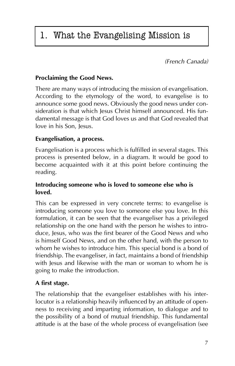# 1. What the Evangelising Mission is

*(French Canada)*

#### **Proclaiming the Good News.**

There are many ways of introducing the mission of evangelisation. According to the etymology of the word, to evangelise is to announce some good news. Obviously the good news under consideration is that which Jesus Christ himself announced. His fundamental message is that God loves us and that God revealed that love in his Son, Jesus.

#### **Evangelisation, a process.**

Evangelisation is a process which is fulfilled in several stages. This process is presented below, in a diagram. It would be good to become acquainted with it at this point before continuing the reading.

#### **Introducing someone who is loved to someone else who is loved.**

This can be expressed in very concrete terms: to evangelise is introducing someone you love to someone else you love. In this formulation, it can be seen that the evangeliser has a privileged relationship on the one hand with the person he wishes to introduce, Jesus, who was the first bearer of the Good News and who is himself Good News, and on the other hand, with the person to whom he wishes to introduce him. This special bond is a bond of friendship. The evangeliser, in fact, maintains a bond of friendship with Jesus and likewise with the man or woman to whom he is going to make the introduction.

#### **A first stage.**

The relationship that the evangeliser establishes with his interlocutor is a relationship heavily influenced by an attitude of openness to receiving and imparting information, to dialogue and to the possibility of a bond of mutual friendship. This fundamental attitude is at the base of the whole process of evangelisation (see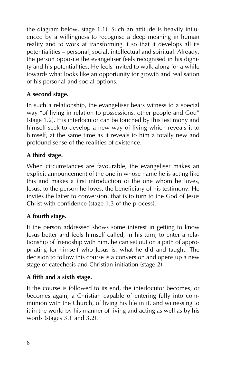the diagram below, stage 1.1). Such an attitude is heavily influenced by a willingness to recognise a deep meaning in human reality and to work at transforming it so that it develops all its potentialities — personal, social, intellectual and spiritual. Already, the person opposite the evangeliser feels recognised in his dignity and his potentialities. He feels invited to walk along for a while towards what looks like an opportunity for growth and realisation of his personal and social options.

#### **A second stage.**

In such a relationship, the evangeliser bears witness to a special way "of living in relation to possessions, other people and God" (stage 1.2). His interlocutor can be touched by this testimony and himself seek to develop a new way of living which reveals it to himself, at the same time as it reveals to him a totally new and profound sense of the realities of existence.

#### **A third stage.**

When circumstances are favourable, the evangeliser makes an explicit announcement of the one in whose name he is acting like this and makes a first introduction of the one whom he loves. Jesus, to the person he loves, the beneficiary of his testimony. He invites the latter to conversion, that is to turn to the God of Jesus Christ with confidence (stage 1.3 of the process).

#### **A fourth stage.**

If the person addressed shows some interest in getting to know Jesus better and feels himself called, in his turn, to enter a relationship of friendship with him, he can set out on a path of appropriating for himself who Jesus is, what he did and taught. The decision to follow this course is a conversion and opens up a new stage of catechesis and Christian initiation (stage 2).

#### **A fifth and a sixth stage.**

If the course is followed to its end, the interlocutor becomes, or becomes again, a Christian capable of entering fully into communion with the Church, of living his life in it, and witnessing to it in the world by his manner of living and acting as well as by his words (stages 3.1 and 3.2).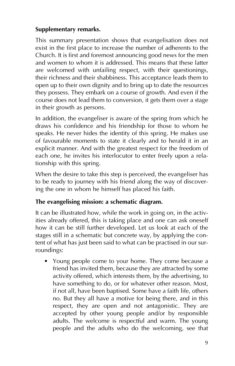#### **Supplementary remarks.**

This summary presentation shows that evangelisation does not exist in the first place to increase the number of adherents to the Church. It is first and foremost announcing good news for the men and women to whom it is addressed. This means that these latter are welcomed with unfailing respect, with their questionings, their richness and their shabbiness. This acceptance leads them to open up to their own dignity and to bring up to date the resources they possess. They embark on a course of growth. And even if the course does not lead them to conversion, it gets them over a stage in their growth as persons.

In addition, the evangeliser is aware of the spring from which he draws his confidence and his friendship for those to whom he speaks. He never hides the identity of this spring. He makes use of favourable moments to state it clearly and to herald it in an explicit manner. And with the greatest respect for the freedom of each one, he invites his interlocutor to enter freely upon a relationship with this spring.

When the desire to take this step is perceived, the evangeliser has to be ready to journey with his friend along the way of discovering the one in whom he himself has placed his faith.

#### **The evangelising mission: a schematic diagram.**

It can be illustrated how, while the work in going on, in the activities already offered, this is taking place and one can ask oneself how it can be still further developed. Let us look at each of the stages still in a schematic but concrete way, by applying the content of what has just been said to what can be practised in our surroundings:

• Young people come to your home. They come because a friend has invited them, because they are attracted by some activity offered, which interests them, by the advertising, to have something to do, or for whatever other reason. Most, if not all, have been baptised. Some have a faith life, others no. But they all have a motive for being there, and in this respect, they are open and not antagonistic. They are accepted by other young people and/or by responsible adults. The welcome is respectful and warm. The young people and the adults who do the welcoming, see that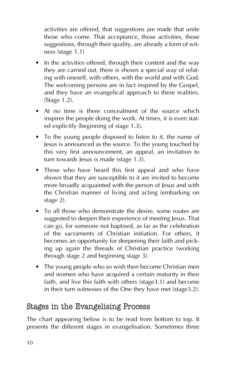activities are offered, that suggestions are made that unite those who come. That acceptance, those activities, those suggestions, through their quality, are already a form of witness (stage 1.1)

- In the activities offered, through their content and the way they are carried out, there is shown a special way of relating with oneself, with others, with the world and with God. The welcoming persons are in fact inspired by the Gospel, and they have an evangelical approach to these realities. (Stage 1.2).
- At no time is there concealment of the source which inspires the people doing the work. At times, it is even stated explicitly (beginning of stage 1.3).
- To the young people disposed to listen to it, the name of Jesus is announced as the source. To the young touched by this very first announcement, an appeal, an invitation to turn towards Jesus is made (stage 1.3).
- Those who have heard this first appeal and who have shown that they are susceptible to it are invited to become more broadly acquainted with the person of Jesus and with the Christian manner of living and acting (embarking on stage 2).
- To all those who demonstrate the desire, some routes are suggested to deepen their experience of meeting Jesus. That can go, for someone not baptised, as far as the celebration of the sacraments of Christian initiation. For others, it becomes an opportunity for deepening their faith and picking up again the threads of Christian practice (working through stage 2 and beginning stage 3).
- The young people who so wish then become Christian men and women who have acquired a certain maturity in their faith, and live this faith with others (stage3.1) and become in their turn witnesses of the One they have met (stage3.2).

### Stages in the Evangelising Process

The chart appearing below is to be read from bottom to top. It presents the different stages in evangelisation. Sometimes three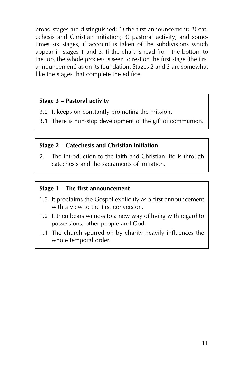broad stages are distinguished: 1) the first announcement; 2) catechesis and Christian initiation; 3) pastoral activity; and sometimes six stages, if account is taken of the subdivisions which appear in stages 1 and 3. If the chart is read from the bottom to the top, the whole process is seen to rest on the first stage (the first announcement) as on its foundation. Stages 2 and 3 are somewhat like the stages that complete the edifice.

#### **Stage 3 — Pastoral activity**

- 3.2 It keeps on constantly promoting the mission.
- 3.1 There is non-stop development of the gift of communion.

#### **Stage 2 — Catechesis and Christian initiation**

2. The introduction to the faith and Christian life is through catechesis and the sacraments of initiation.

#### **Stage 1 — The first announcement**

- 1.3 It proclaims the Gospel explicitly as a first announcement with a view to the first conversion.
- 1.2 It then bears witness to a new way of living with regard to possessions, other people and God.
- 1.1 The church spurred on by charity heavily influences the whole temporal order.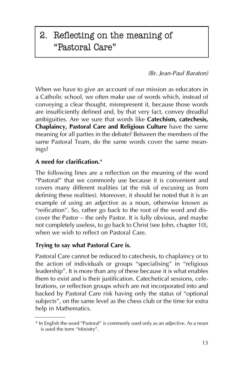### 2. Reflecting on the meaning of "Pastoral Care"

*(Br. Jean-Paul Baraton)*

When we have to give an account of our mission as educators in a Catholic school, we often make use of words which, instead of conveying a clear thought, misrepresent it, because those words are insufficiently defined and, by that very fact, convey dreadful ambiguities. Are we sure that words like **Catechism, catechesis, Chaplaincy, Pastoral Care and Religious Culture** have the same meaning for all parties in the debate? Between the members of the same Pastoral Team, do the same words cover the same meanings?

#### **A need for clarification.**\*

The following lines are a reflection on the meaning of the word "Pastoral" that we commonly use because it is convenient and covers many different realities (at the risk of excusing us from defining these realities). Moreover, it should be noted that it is an example of using an adjective as a noun, otherwise known as "reification". So, rather go back to the root of the word and discover the Pastor — the only Pastor. It is fully obvious, and maybe not completely useless, to go back to Christ (see John, chapter 10), when we wish to reflect on Pastoral Care.

#### **Trying to say what Pastoral Care is.**

Pastoral Care cannot be reduced to catechesis, to chaplaincy or to the action of individuals or groups "specialising" in "religious leadership". It is more than any of these because it is what enables them to exist and is their justification. Catechetical sessions, celebrations, or reflection groups which are not incorporated into and backed by Pastoral Care risk having only the status of "optional subjects", on the same level as the chess club or the time for extra help in Mathematics.

<sup>\*</sup> In English the word "Pastoral" is commonly used only as an adjective. As a noun is used the term "Ministry".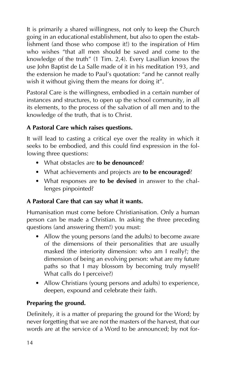It is primarily a shared willingness, not only to keep the Church going in an educational establishment, but also to open the establishment (and those who compose it!) to the inspiration of Him who wishes "that all men should be saved and come to the knowledge of the truth" (1 Tim. 2,4). Every Lasallian knows the use John Baptist de La Salle made of it in his meditation 193, and the extension he made to Paul's quotation: "and he cannot really wish it without giving them the means for doing it".

Pastoral Care is the willingness, embodied in a certain number of instances and structures, to open up the school community, in all its elements, to the process of the salvation of all men and to the knowledge of the truth, that is to Christ.

#### **A Pastoral Care which raises questions.**

It will lead to casting a critical eye over the reality in which it seeks to be embodied, and this could find expression in the following three questions:

- What obstacles are **to be denounced**?
- What achievements and projects are **to be encouraged**?
- What responses are **to be devised** in answer to the challenges pinpointed?

#### **A Pastoral Care that can say what it wants.**

Humanisation must come before Christianisation. Only a human person can be made a Christian. In asking the three preceding questions (and answering them!) you must:

- Allow the young persons (and the adults) to become aware of the dimensions of their personalities that are usually masked (the interiority dimension: who am I really?; the dimension of being an evolving person: what are my future paths so that I may blossom by becoming truly myself? What calls do I perceive?)
- Allow Christians (young persons and adults) to experience, deepen, expound and celebrate their faith.

#### **Preparing the ground.**

Definitely, it is a matter of preparing the ground for the Word; by never forgetting that we are not the masters of the harvest, that our words are at the service of a Word to be announced; by not for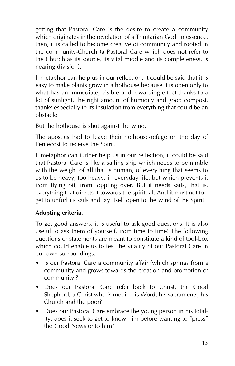getting that Pastoral Care is the desire to create a community which originates in the revelation of a Trinitarian God. In essence, then, it is called to become creative of community and rooted in the community-Church (a Pastoral Care which does not refer to the Church as its source, its vital middle and its completeness, is nearing division).

If metaphor can help us in our reflection, it could be said that it is easy to make plants grow in a hothouse because it is open only to what has an immediate, visible and rewarding effect thanks to a lot of sunlight, the right amount of humidity and good compost, thanks especially to its insulation from everything that could be an obstacle.

But the hothouse is shut against the wind.

The apostles had to leave their hothouse-refuge on the day of Pentecost to receive the Spirit.

If metaphor can further help us in our reflection, it could be said that Pastoral Care is like a sailing ship which needs to be nimble with the weight of all that is human, of everything that seems to us to be heavy, too heavy, in everyday life, but which prevents it from flying off, from toppling over. But it needs sails, that is, everything that directs it towards the spiritual. And it must not forget to unfurl its sails and lay itself open to the wind of the Spirit.

#### **Adopting criteria.**

To get good answers, it is useful to ask good questions. It is also useful to ask them of yourself, from time to time! The following questions or statements are meant to constitute a kind of tool-box which could enable us to test the vitality of our Pastoral Care in our own surroundings.

- Is our Pastoral Care a community affair (which springs from a community and grows towards the creation and promotion of community)?
- Does our Pastoral Care refer back to Christ, the Good Shepherd, a Christ who is met in his Word, his sacraments, his Church and the poor?
- Does our Pastoral Care embrace the young person in his totality, does it seek to get to know him before wanting to "press" the Good News onto him?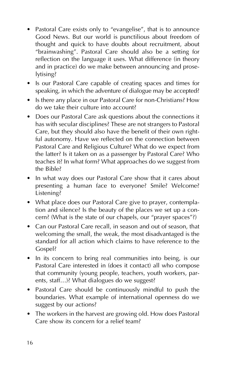- Pastoral Care exists only to "evangelise", that is to announce Good News. But our world is punctilious about freedom of thought and quick to have doubts about recruitment, about "brainwashing". Pastoral Care should also be a setting for reflection on the language it uses. What difference (in theory and in practice) do we make between announcing and proselytising?
- Is our Pastoral Care capable of creating spaces and times for speaking, in which the adventure of dialogue may be accepted?
- Is there any place in our Pastoral Care for non-Christians? How do we take their culture into account?
- Does our Pastoral Care ask questions about the connections it has with secular disciplines? These are not strangers to Pastoral Care, but they should also have the benefit of their own rightful autonomy. Have we reflected on the connection between Pastoral Care and Religious Culture? What do we expect from the latter? Is it taken on as a passenger by Pastoral Care? Who teaches it? In what form? What approaches do we suggest from the Bible?
- In what way does our Pastoral Care show that it cares about presenting a human face to everyone? Smile? Welcome? Listening?
- What place does our Pastoral Care give to prayer, contemplation and silence? Is the beauty of the places we set up a concern? (What is the state of our chapels, our "prayer spaces"?)
- Can our Pastoral Care recall, in season and out of season, that welcoming the small, the weak, the most disadvantaged is the standard for all action which claims to have reference to the Gospel?
- In its concern to bring real communities into being, is our Pastoral Care interested in (does it contact) all who compose that community (young people, teachers, youth workers, parents, staff…)? What dialogues do we suggest?
- Pastoral Care should be continuously mindful to push the boundaries. What example of international openness do we suggest by our actions?
- The workers in the harvest are growing old. How does Pastoral Care show its concern for a relief team?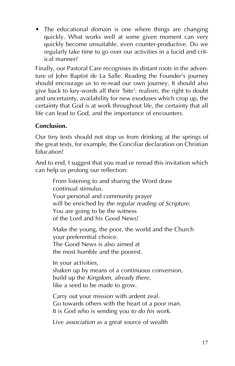• The educational domain is one where things are changing quickly. What works well at some given moment can very quickly become unsuitable, even counter-productive. Do we regularly take time to go over our activities in a lucid and critical manner?

Finally, our Pastoral Care recognises its distant roots in the adventure of John Baptist de La Salle. Reading the Founder's journey should encourage us to re-read our own journey. It should also give back to key-words all their 'bite': realism, the right to doubt and uncertainty, availability for new exoduses which crop up, the certainty that God is at work throughout life, the certainty that all life can lead to God, and the importance of encounters.

#### **Conclusion.**

Our tiny texts should not stop us from drinking at the springs of the great texts, for example, the Conciliar declaration on Christian Education!

And to end, I suggest that you read or reread this invitation which can help us prolong our reflection:

From listening to and sharing the Word draw continual stimulus. Your personal and community prayer will be enriched by *the regular reading of Scripture*. You are going to be the witness of the Lord and his Good News!

Make the young, the poor, the world and the Church your preferential choice. The Good News is also aimed at the most humble and the poorest.

In your activities, shaken up by means of a continuous conversion, build up the *Kingdom, already there*, like a seed to be made to grow.

Carry out your mission with ardent zeal. Go towards others with the heart of a poor man. It is God who is sending you *to do his work*.

Live *association* as a great source of wealth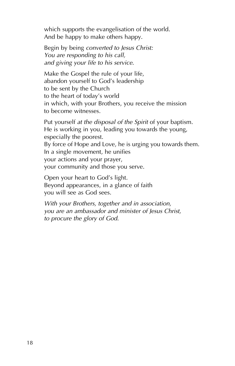which supports the evangelisation of the world. And be happy to make others happy.

Begin by being *converted to Jesus Christ: You are responding to his call, and giving your life to his service*.

Make the Gospel the rule of your life, abandon yourself to God's leadership to be sent by the Church to the heart of today's world in which, with your Brothers, you receive the mission to become witnesses.

Put yourself *at the disposal of the Spirit* of your baptism. He is working in you, leading you towards the young, especially the poorest. By force of Hope and Love, he is urging you towards them. In a single movement, he unifies your actions and your prayer, your community and those you serve.

Open your heart to God's light. Beyond appearances, in a glance of faith you will see as God sees.

*With your Brothers, together and in association, you are an ambassador and minister of Jesus Christ, to procure the glory of God*.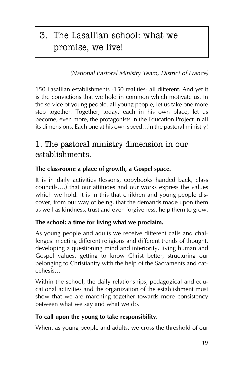# 3. The Lasallian school: what we promise, we live!

#### *(National Pastoral Ministry Team, District of France)*

150 Lasallian establishments -150 realities- all different. And yet it is the convictions that we hold in common which motivate us. In the service of young people, all young people, let us take one more step together. Together, today, each in his own place, let us become, even more, the protagonists in the Education Project in all its dimensions. Each one at his own speed…in the pastoral ministry!

### 1. The pastoral ministry dimension in our establishments.

#### **The classroom: a place of growth, a Gospel space.**

It is in daily activities (lessons, copybooks handed back, class councils….) that our attitudes and our works express the values which we hold. It is in this that children and young people discover, from our way of being, that the demands made upon them as well as kindness, trust and even forgiveness, help them to grow.

#### **The school: a time for living what we proclaim.**

As young people and adults we receive different calls and challenges: meeting different religions and different trends of thought, developing a questioning mind and interiority, living human and Gospel values, getting to know Christ better, structuring our belonging to Christianity with the help of the Sacraments and catechesis…

Within the school, the daily relationships, pedagogical and educational activities and the organization of the establishment must show that we are marching together towards more consistency between what we say and what we do.

#### **To call upon the young to take responsibility.**

When, as young people and adults, we cross the threshold of our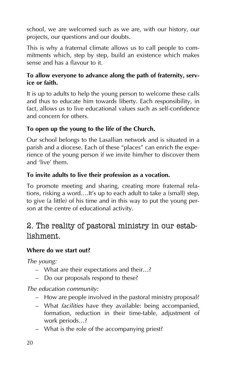school, we are welcomed such as we are, with our history, our projects, our questions and our doubts.

This is why a fraternal climate allows us to call people to commitments which, step by step, build an existence which makes sense and has a flavour to it.

#### **To allow everyone to advance along the path of fraternity, service or faith.**

It is up to adults to help the young person to welcome these calls and thus to educate him towards liberty. Each responsibility, in fact, allows us to live educational values such as self-confidence and concern for others.

#### **To open up the young to the life of the Church.**

Our school belongs to the Lasallian network and is situated in a parish and a diocese. Each of these "places" can enrich the experience of the young person if we invite him/her to discover them and 'live' them.

#### **To invite adults to live their profession as a vocation.**

To promote meeting and sharing, creating more fraternal relations, risking a word….It's up to each adult to take a (small) step, to give (a little) of his time and in this way to put the young person at the centre of educational activity.

### 2. The reality of pastoral ministry in our establishment.

#### **Where do we start out?**

*The young:*

- What are their expectations and their…?
- Do our proposals respond to these?

*The education community:*

- How are people involved in the pastoral ministry proposal?
- What *facilities* have they available: being accompanied, formation, reduction in their time-table, adjustment of work periods…?
- What is the role of the accompanying priest?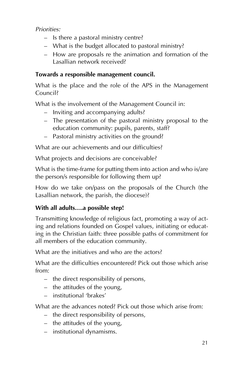*Priorities:*

- Is there a pastoral ministry centre?
- What is the budget allocated to pastoral ministry?
- How are proposals re the animation and formation of the Lasallian network received?

#### **Towards a responsible management council.**

What is the place and the role of the APS in the Management Council?

What is the involvement of the Management Council in:

- Inviting and accompanying adults?
- The presentation of the pastoral ministry proposal to the education community: pupils, parents, staff?
- Pastoral ministry activities on the ground?

What are our achievements and our difficulties?

What projects and decisions are conceivable?

What is the time-frame for putting them into action and who is/are the person/s responsible for following them up?

How do we take on/pass on the proposals of the Church (the Lasallian network, the parish, the diocese)?

#### **With all adults….a possible step!**

Transmitting knowledge of religious fact, promoting a way of acting and relations founded on Gospel values, initiating or educating in the Christian faith: three possible paths of commitment for all members of the education community.

What are the initiatives and who are the actors?

What are the difficulties encountered? Pick out those which arise from:

- the direct responsibility of persons,
- the attitudes of the young,
- institutional 'brakes'

What are the advances noted? Pick out those which arise from:

- the direct responsibility of persons,
- the attitudes of the young,
- institutional dynamisms.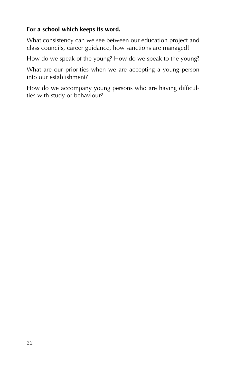#### **For a school which keeps its word.**

What consistency can we see between our education project and class councils, career guidance, how sanctions are managed?

How do we speak of the young? How do we speak to the young?

What are our priorities when we are accepting a young person into our establishment?

How do we accompany young persons who are having difficulties with study or behaviour?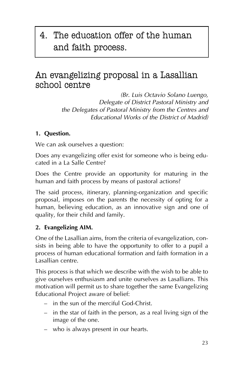4. The education offer of the human and faith process.

### An evangelizing proposal in a Lasallian school centre

*(Br. Luis Octavio Solano Luengo, Delegate of District Pastoral Ministry and the Delegates of Pastoral Ministry from the Centres and Educational Works of the District of Madrid)*

#### **1. Question.**

We can ask ourselves a question:

Does any evangelizing offer exist for someone who is being educated in a La Salle Centre?

Does the Centre provide an opportunity for maturing in the human and faith process by means of pastoral actions?

The said process, itinerary, planning-organization and specific proposal, imposes on the parents the necessity of opting for a human, believing education, as an innovative sign and one of quality, for their child and family.

#### **2. Evangelizing AIM.**

One of the Lasallian aims, from the criteria of evangelization, consists in being able to have the opportunity to offer to a pupil a process of human educational formation and faith formation in a Lasallian centre.

This process is that which we describe with the wish to be able to give ourselves enthusiasm and unite ourselves as Lasallians. This motivation will permit us to share together the same Evangelizing Educational Project aware of belief:

- in the sun of the merciful God-Christ.
- in the star of faith in the person, as a real living sign of the image of the one.
- who is always present in our hearts.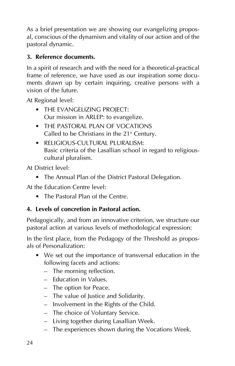As a brief presentation we are showing our evangelizing proposal, conscious of the dynamism and vitality of our action and of the pastoral dynamic.

#### **3. Reference documents.**

In a spirit of research and with the need for a theoretical-practical frame of reference, we have used as our inspiration some documents drawn up by certain inquiring, creative persons with a vision of the future.

At Regional level:

- THE EVANGELIZING PROJECT: Our mission in ARLEP: to evangelize.
- THE PASTORAL PLAN OF VOCATIONS Called to be Christians in the  $21<sup>st</sup>$  Century.
- RELIGIOUS-CULTURAL PLURALISM: Basic criteria of the Lasallian school in regard to religiouscultural pluralism.

At District level:

• The Annual Plan of the District Pastoral Delegation.

At the Education Centre level:

• The Pastoral Plan of the Centre.

#### **4. Levels of concretion in Pastoral action.**

Pedagogically, and from an innovative criterion, we structure our pastoral action at various levels of methodological expression:

In the first place, from the Pedagogy of the Threshold as proposals of Personalization:

- We set out the importance of transversal education in the following facets and actions:
	- The morning reflection.
	- Education in Values.
	- The option for Peace.
	- The value of Justice and Solidarity.
	- Involvement in the Rights of the Child.
	- The choice of Voluntary Service.
	- Living together during Lasallian Week.
	- The experiences shown during the Vocations Week.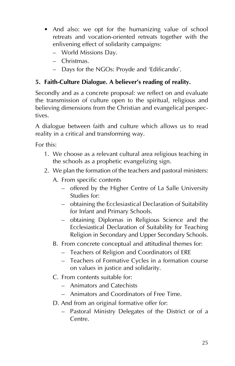- And also: we opt for the humanizing value of school retreats and vocation-oriented retreats together with the enlivening effect of solidarity campaigns:
	- World Missions Day.
	- Christmas.
	- Days for the NGOs: Proyde and 'Edificando'.

#### **5. Faith-Culture Dialogue. A believer's reading of reality.**

Secondly and as a concrete proposal: we reflect on and evaluate the transmission of culture open to the spiritual, religious and believing dimensions from the Christian and evangelical perspectives.

A dialogue between faith and culture which allows us to read reality in a critical and transforming way.

For this:

- 1. We choose as a relevant cultural area religious teaching in the schools as a prophetic evangelizing sign.
- 2. We plan the formation of the teachers and pastoral ministers:
	- A. From specific contents
		- offered by the Higher Centre of La Salle University Studies for:
		- obtaining the Ecclesiastical Declaration of Suitability for Infant and Primary Schools.
		- obtaining Diplomas in Religious Science and the Ecclesiastical Declaration of Suitability for Teaching Religion in Secondary and Upper Secondary Schools.
	- B. From concrete conceptual and attitudinal themes for:
		- Teachers of Religion and Coordinators of ERE
		- Teachers of Formative Cycles in a formation course on values in justice and solidarity.
	- C. From contents suitable for:
		- Animators and Catechists
		- Animators and Coordinators of Free Time.
	- D. And from an original formative offer for:
		- Pastoral Ministry Delegates of the District or of a Centre.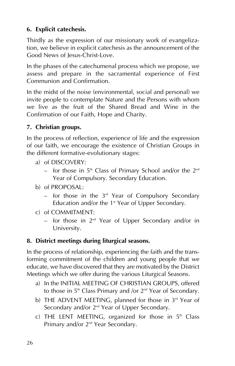#### **6. Explicit catechesis.**

Thirdly as the expression of our missionary work of evangelization, we believe in explicit catechesis as the announcement of the Good News of Jesus-Christ-Love.

In the phases of the catechumenal process which we propose, we assess and prepare in the sacramental experience of First Communion and Confirmation.

In the midst of the noise (environmental, social and personal) we invite people to contemplate Nature and the Persons with whom we live as the fruit of the Shared Bread and Wine in the Confirmation of our Faith, Hope and Charity.

#### **7. Christian groups.**

In the process of reflection, experience of life and the expression of our faith, we encourage the existence of Christian Groups in the different formative-evolutionary stages:

- a) of DISCOVERY:
	- for those in  $5<sup>th</sup>$  Class of Primary School and/or the  $2<sup>nd</sup>$ Year of Compulsory. Secondary Education.
- b) of PROPOSAL:
	- $-$  for those in the  $3<sup>rd</sup>$  Year of Compulsory Secondary Education and/or the  $1<sup>st</sup>$  Year of Upper Secondary.
- c) of COMMITMENT:
	- $-$  for those in  $2^{nd}$  Year of Upper Secondary and/or in University.

#### **8. District meetings during liturgical seasons.**

In the process of relationship, experiencing the faith and the transforming commitment of the children and young people that we educate, we have discovered that they are motivated by the District Meetings which we offer during the various Liturgical Seasons.

- a) In the INITIAL MEETING OF CHRISTIAN GROUPS, offered to those in 5<sup>th</sup> Class Primary and /or 2<sup>nd</sup> Year of Secondary.
- b) THE ADVENT MEETING, planned for those in  $3<sup>rd</sup>$  Year of Secondary and/or 2<sup>nd</sup> Year of Upper Secondary.
- c) THE LENT MEETING, organized for those in  $5<sup>th</sup>$  Class Primary and/or 2<sup>nd</sup> Year Secondary.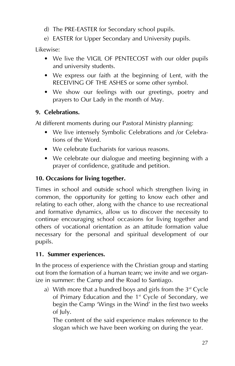- d) The PRE-EASTER for Secondary school pupils.
- e) EASTER for Upper Secondary and University pupils.

Likewise:

- We live the VIGIL OF PENTECOST with our older pupils and university students.
- We express our faith at the beginning of Lent, with the RECEIVING OF THE ASHES or some other symbol.
- We show our feelings with our greetings, poetry and prayers to Our Lady in the month of May.

#### **9. Celebrations.**

At different moments during our Pastoral Ministry planning:

- We live intensely Symbolic Celebrations and /or Celebrations of the Word.
- We celebrate Eucharists for various reasons.
- We celebrate our dialogue and meeting beginning with a prayer of confidence, gratitude and petition.

#### **10. Occasions for living together.**

Times in school and outside school which strengthen living in common, the opportunity for getting to know each other and relating to each other, along with the chance to use recreational and formative dynamics, allow us to discover the necessity to continue encouraging school occasions for living together and others of vocational orientation as an attitude formation value necessary for the personal and spiritual development of our pupils.

#### **11. Summer experiences.**

In the process of experience with the Christian group and starting out from the formation of a human team; we invite and we organize in summer: the Camp and the Road to Santiago.

a) With more that a hundred boys and girls from the  $3<sup>rd</sup>$  Cycle of Primary Education and the 1<sup>st</sup> Cycle of Secondary, we begin the Camp 'Wings in the Wind' in the first two weeks of July.

The content of the said experience makes reference to the slogan which we have been working on during the year.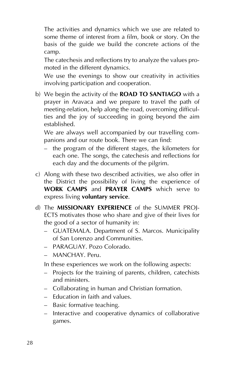The activities and dynamics which we use are related to some theme of interest from a film, book or story. On the basis of the guide we build the concrete actions of the camp.

The catechesis and reflections try to analyze the values promoted in the different dynamics.

We use the evenings to show our creativity in activities involving participation and cooperation.

b) We begin the activity of the **ROAD TO SANTIAGO** with a prayer in Aravaca and we prepare to travel the path of meeting-relation, help along the road, overcoming difficulties and the joy of succeeding in going beyond the aim established.

We are always well accompanied by our travelling companions and our route book. There we can find:

- the program of the different stages, the kilometers for each one. The songs, the catechesis and reflections for each day and the documents of the pilgrim.
- c) Along with these two described activities, we also offer in the District the possibility of living the experience of **WORK CAMPS** and **PRAYER CAMPS** which serve to express living **voluntary service**.
- d) The **MISSIONARY EXPERIENCE** of the SUMMER PROJ-ECTS motivates those who share and give of their lives for the good of a sector of humanity in:
	- GUATEMALA. Department of S. Marcos. Municipality of San Lorenzo and Communities.
	- PARAGUAY. Pozo Colorado.
	- MANCHAY. Peru.

In these experiences we work on the following aspects:

- Projects for the training of parents, children, catechists and ministers.
- Collaborating in human and Christian formation.
- Education in faith and values.
- Basic formative teaching.
- Interactive and cooperative dynamics of collaborative games.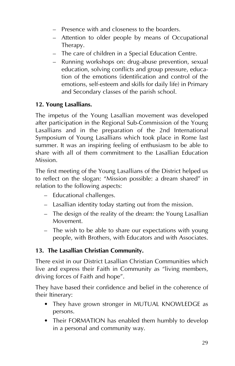- Presence with and closeness to the boarders.
- Attention to older people by means of Occupational Therapy.
- The care of children in a Special Education Centre.
- Running workshops on: drug-abuse prevention, sexual education, solving conflicts and group pressure, education of the emotions (identification and control of the emotions, self-esteem and skills for daily life) in Primary and Secondary classes of the parish school.

#### **12. Young Lasallians.**

The impetus of the Young Lasallian movement was developed after participation in the Regional Sub-Commission of the Young Lasallians and in the preparation of the 2nd International Symposium of Young Lasallians which took place in Rome last summer. It was an inspiring feeling of enthusiasm to be able to share with all of them commitment to the Lasallian Education Mission.

The first meeting of the Young Lasallians of the District helped us to reflect on the slogan: "Mission possible: a dream shared" in relation to the following aspects:

- Educational challenges.
- Lasallian identity today starting out from the mission.
- The design of the reality of the dream: the Young Lasallian Movement.
- The wish to be able to share our expectations with young people, with Brothers, with Educators and with Associates.

#### **13. The Lasallian Christian Community.**

There exist in our District Lasallian Christian Communities which live and express their Faith in Community as "living members, driving forces of Faith and hope".

They have based their confidence and belief in the coherence of their Itinerary:

- They have grown stronger in MUTUAL KNOWLEDGE as persons.
- Their FORMATION has enabled them humbly to develop in a personal and community way.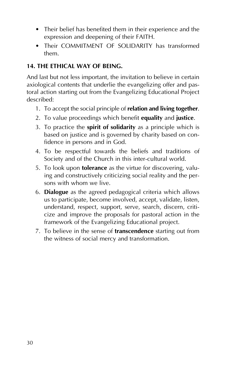- Their belief has benefited them in their experience and the expression and deepening of their FAITH.
- Their COMMITMENT OF SOLIDARITY has transformed them.

#### **14. THE ETHICAL WAY OF BEING.**

And last but not less important, the invitation to believe in certain axiological contents that underlie the evangelizing offer and pastoral action starting out from the Evangelizing Educational Project described:

- 1. To accept the social principle of **relation and living together**.
- 2. To value proceedings which benefit **equality** and **justice**.
- 3. To practice the **spirit of solidarity** as a principle which is based on justice and is governed by charity based on confidence in persons and in God.
- 4. To be respectful towards the beliefs and traditions of Society and of the Church in this inter-cultural world.
- 5. To look upon **tolerance** as the virtue for discovering, valuing and constructively criticizing social reality and the persons with whom we live.
- 6. **Dialogue** as the agreed pedagogical criteria which allows us to participate, become involved, accept, validate, listen, understand, respect, support, serve, search, discern, criticize and improve the proposals for pastoral action in the framework of the Evangelizing Educational project.
- 7. To believe in the sense of **transcendence** starting out from the witness of social mercy and transformation.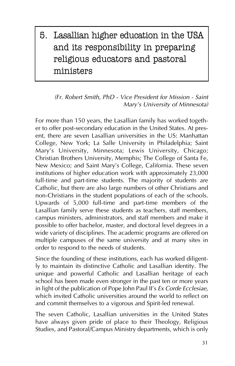# 5. Lasallian higher education in the USA and its responsibility in preparing religious educators and pastoral ministers

#### *(Fr. Robert Smith, PhD - Vice President for Mission - Saint Mary's University of Minnesota)*

For more than 150 years, the Lasallian family has worked together to offer post-secondary education in the United States. At present, there are seven Lasallian universities in the US: Manhattan College, New York; La Salle University in Philadelphia; Saint Mary's University, Minnesota; Lewis University, Chicago; Christian Brothers University, Memphis; The College of Santa Fe, New Mexico; and Saint Mary's College, California. These seven institutions of higher education work with approximately 23,000 full-time and part-time students. The majority of students are Catholic, but there are also large numbers of other Christians and non-Christians in the student populations of each of the schools. Upwards of 5,000 full-time and part-time members of the Lasallian family serve these students as teachers, staff members, campus ministers, administrators, and staff members and make it possible to offer bachelor, master, and doctoral level degrees in a wide variety of disciplines. The academic programs are offered on multiple campuses of the same university and at many sites in order to respond to the needs of students.

Since the founding of these institutions, each has worked diligently to maintain its distinctive Catholic and Lasallian identity. The unique and powerful Catholic and Lasallian heritage of each school has been made even stronger in the past ten or more years in light of the publication of Pope John Paul II's *Ex Corde Ecclesiae*, which invited Catholic universities around the world to reflect on and commit themselves to a vigorous and Spirit-led renewal.

The seven Catholic, Lasallian universities in the United States have always given pride of place to their Theology, Religious Studies, and Pastoral/Campus Ministry departments, which is only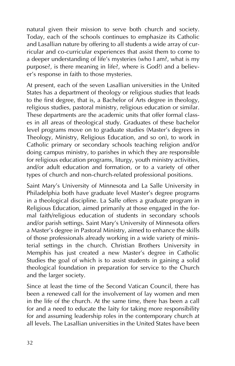natural given their mission to serve both church and society. Today, each of the schools continues to emphasize its Catholic and Lasallian nature by offering to all students a wide array of curricular and co-curricular experiences that assist them to come to a deeper understanding of life's mysteries (who I am?, what is my purpose?, is there meaning in life?, where is God?) and a believer's response in faith to those mysteries.

At present, each of the seven Lasallian universities in the United States has a department of theology or religious studies that leads to the first degree, that is, a Bachelor of Arts degree in theology, religious studies, pastoral ministry, religious education or similar. These departments are the academic units that offer formal classes in all areas of theological study. Graduates of these bachelor level programs move on to graduate studies (Master's degrees in Theology, Ministry, Religious Education, and so on), to work in Catholic primary or secondary schools teaching religion and/or doing campus ministry, to parishes in which they are responsible for religious education programs, liturgy, youth ministry activities, and/or adult education and formation, or to a variety of other types of church and non-church-related professional positions.

Saint Mary's University of Minnesota and La Salle University in Philadelphia both have graduate level Master's degree programs in a theological discipline. La Salle offers a graduate program in Religious Education, aimed primarily at those engaged in the formal faith/religious education of students in secondary schools and/or parish settings. Saint Mary's University of Minnesota offers a Master's degree in Pastoral Ministry, aimed to enhance the skills of those professionals already working in a wide variety of ministerial settings in the church. Christian Brothers University in Memphis has just created a new Master's degree in Catholic Studies the goal of which is to assist students in gaining a solid theological foundation in preparation for service to the Church and the larger society.

Since at least the time of the Second Vatican Council, there has been a renewed call for the involvement of lay women and men in the life of the church. At the same time, there has been a call for and a need to educate the laity for taking more responsibility for and assuming leadership roles in the contemporary church at all levels. The Lasallian universities in the United States have been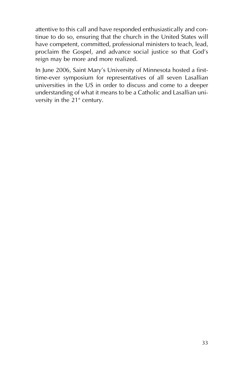attentive to this call and have responded enthusiastically and continue to do so, ensuring that the church in the United States will have competent, committed, professional ministers to teach, lead, proclaim the Gospel, and advance social justice so that God's reign may be more and more realized.

In June 2006, Saint Mary's University of Minnesota hosted a firsttime-ever symposium for representatives of all seven Lasallian universities in the US in order to discuss and come to a deeper understanding of what it means to be a Catholic and Lasallian university in the  $21<sup>st</sup>$  century.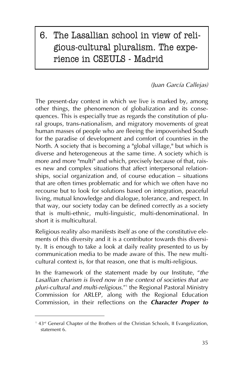## 6. The Lasallian school in view of religious-cultural pluralism. The experience in CSEULS - Madrid

#### *(Juan García Callejas)*

The present-day context in which we live is marked by, among other things, the phenomenon of globalization and its consequences. This is especially true as regards the constitution of plural groups, trans-nationalism, and migratory movements of great human masses of people who are fleeing the impoverished South for the paradise of development and comfort of countries in the North. A society that is becoming a "global village," but which is diverse and heterogeneous at the same time. A society which is more and more "multi" and which, precisely because of that, raises new and complex situations that affect interpersonal relationships, social organization and, of course education — situations that are often times problematic and for which we often have no recourse but to look for solutions based on integration, peaceful living, mutual knowledge and dialogue, tolerance, and respect. In that way, our society today can be defined correctly as a society that is multi-ethnic, multi-linguistic, multi-denominational. In short it is multicultural.

Religious reality also manifests itself as one of the constitutive elements of this diversity and it is a contributor towards this diversity. It is enough to take a look at daily reality presented to us by communication media to be made aware of this. The new multicultural context is, for that reason, one that is multi-religious.

In the framework of the statement made by our Institute, "*the Lasallian charism is lived now in the context of societies that are pluri-cultural and multi-religious.*"1 the Regional Pastoral Ministry Commission for ARLEP, along with the Regional Education Commission, in their reflections on the *Character Proper to*

<sup>&</sup>lt;sup>1</sup> 43<sup>rd</sup> General Chapter of the Brothers of the Christian Schools, II Evangelization, statement 6.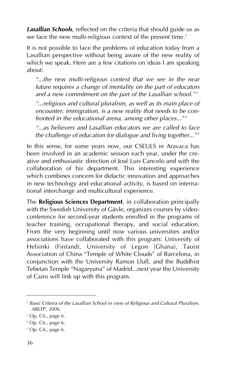*Lasallian Schools*, reflected on the criteria that should guide us as we face the new multi-religious context of the present time.<sup>2</sup>

It is not possible to face the problems of education today from a Lasallian perspective without being aware of the new reality of which we speak. Here are a few citations on ideas I am speaking about:

*"...the new multi-religious context that we see in the near future requires a change of mentality on the part of educators* and a new commitment on the part of the Lasallian school.<sup>"3</sup>

*"...religious and cultural pluralism, as well as its main place of encounter, immigration, is a new reality that needs to be confronted in the educational arena, among other places..."* <sup>4</sup>

*"...as believers and Lasallian educators we are called to face the challenge of education for dialogue and living together..."* <sup>5</sup>

In this sense, for some years now, our CSEULS in Aravaca has been involved in an academic session each year, under the creative and enthusiastic direction of José Luis Cancelo and with the collaboration of his department. This interesting experience which combines concern for didactic innovation and approaches in new technology and educational activity, is based on international interchange and multicultural experience.

The **Religious Sciences Department**, in collaboration principally with the Swedish University of Gävle, organizes courses by videoconference for second-year students enrolled in the programs of teacher training, occupational therapy, and social education. From the very beginning until now various universities and/or associations have collaborated with this program: University of Helsinki (Finland), University of Legon (Ghana), Taoist Association of China "Temple of White Clouds" of Barcelona, in conjunction with the University Ramon Llull, and the Buddhist Tebetan Temple "Nagaryuna" of Madrid...next year the University of Cairo will link up with this program.

<sup>2</sup> *Basic Criteria of the Lasallian School in view of Religious and Cultural Pluralism*. ARLEP, 2006.

<sup>&</sup>lt;sup>3</sup> Op. Cit., page 6.

 $4$  Op. Cit., page 6.

 $5$  Op. Cit., page 6.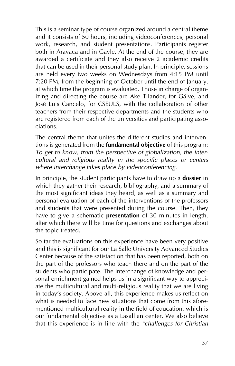This is a seminar type of course organized around a central theme and it consists of 50 hours, including videoconferences, personal work, research, and student presentations. Participants register both in Aravaca and in Gävle. At the end of the course, they are awarded a certificate and they also receive 2 academic credits that can be used in their personal study plan. In principle, sessions are held every two weeks on Wednesdays from 4:15 PM until 7:20 PM, from the beginning of October until the end of January, at which time the program is evaluated. Those in charge of organizing and directing the course are Ake Tilander, for Gälve, and José Luis Cancelo, for CSEULS, with the collaboration of other teachers from their respective departments and the students who are registered from each of the universities and participating associations.

The central theme that unites the different studies and interventions is generated from the **fundamental objective** of this program: *To get to know, from the perspective of globalization, the intercultural and religious reality in the specific places or centers where interchange takes place by videoconferencing*.

In principle, the student participants have to draw up a **dossier** in which they gather their research, bibliography, and a summary of the most significant ideas they heard, as well as a summary and personal evaluation of each of the interventions of the professors and students that were presented during the course. Then, they have to give a schematic **presentation** of 30 minutes in length, after which there will be time for questions and exchanges about the topic treated.

So far the evaluations on this experience have been very positive and this is significant for our La Salle University Advanced Studies Center because of the satisfaction that has been reported, both on the part of the professors who teach there and on the part of the students who participate. The interchange of knowledge and personal enrichment gained helps us in a significant way to appreciate the multicultural and multi-religious reality that we are living in today's society. Above all, this experience makes us reflect on what is needed to face new situations that come from this aforementioned multicultural reality in the field of education, which is our fundamental objective as a Lasallian center. We also believe that this experience is in line with the *"challenges for Christian*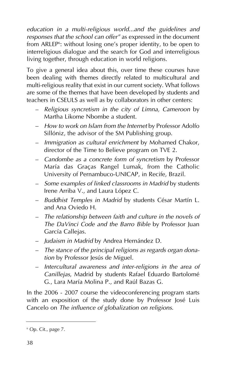*education in a multi-religious world...and the guidelines and responses that the school can offer"* as expressed in the document from ARLEP': without losing one's proper identity, to be open to interreligious dialogue and the search for God and interreligious living together, through education in world religions.

To give a general idea about this, over time these courses have been dealing with themes directly related to multicultural and multi-religious reality that exist in our current society. What follows are some of the themes that have been developed by students and teachers in CSEULS as well as by collaborators in other centers:

- *Religious syncretism in the city of Limna, Cameroon* by Martha Likome Nbombe a student.
- *How to work on Islam from the Internet* by Professor Adolfo Sillóniz, the advisor of the SM Publishing group.
- *Immigration as cultural enrichment* by Mohamed Chakor, director of the Time to Believe program on TVE 2.
- *Candombe as a concrete form of syncretism* by Professor María das Graças Rangel Lumak, from the Catholic University of Pernambuco-UNICAP, in Recife, Brazil.
- *Some examples of linked classrooms in Madrid* by students Irene Arriba V., and Laura López C.
- *Buddhist Temples in Madrid* by students César Martín L. and Ana Oviedo H.
- *The relationship between faith and culture in the novels of The DaVinci Code and the Barro Bible* by Professor Juan García Callejas.
- *Judaism in Madrid* by Andrea Hernández D.
- *The stance of the principal religions as regards organ donation* by Professor Jesús de Miguel.
- *Intercultural awareness and inter-religions in the area of Canillejas*, Madrid by students Rafael Eduardo Bartolomé G., Lara María Molina P., and Raúl Bazas G.

In the 2006 - 2007 course the videoconferencing program starts with an exposition of the study done by Professor José Luis Cancelo on *The influence of globalization on religions*.

 $6$  Op. Cit., page 7.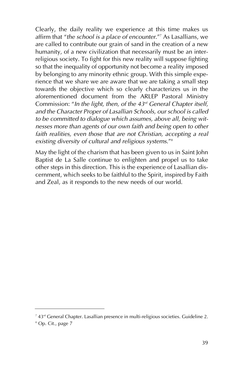Clearly, the daily reality we experience at this time makes us affirm that "*the school is a place of encounter*."7 As Lasallians, we are called to contribute our grain of sand in the creation of a new humanity, of a new civilization that necessarily must be an interreligious society. To fight for this new reality will suppose fighting so that the inequality of opportunity not become a reality imposed by belonging to any minority ethnic group. With this simple experience that we share we are aware that we are taking a small step towards the objective which so clearly characterizes us in the aforementioned document from the ARLEP Pastoral Ministry Commission: "*In the light, then, of the 43rd General Chapter itself, and the Character Proper of Lasallian Schools, our school is called to be committed to dialogue which assumes, above all, being witnesses more than agents of our own faith and being open to other faith realities, even those that are not Christian, accepting a real existing diversity of cultural and religious systems*."8

May the light of the charism that has been given to us in Saint John Baptist de La Salle continue to enlighten and propel us to take other steps in this direction. This is the experience of Lasallian discernment, which seeks to be faithful to the Spirit, inspired by Faith and Zeal, as it responds to the new needs of our world.

<sup>7</sup> 43rd General Chapter. Lasallian presence in multi-religious societies. Guideline 2.

<sup>&</sup>lt;sup>8</sup> Op. Cit., page 7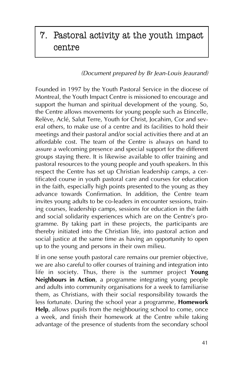## 7. Pastoral activity at the youth impact centre

#### *(Document prepared by Br Jean-Louis Jeaurand)*

Founded in 1997 by the Youth Pastoral Service in the diocese of Montreal, the Youth Impact Centre is missioned to encourage and support the human and spiritual development of the young. So, the Centre allows movements for young people such as Etincelle, Relève, Aclé, Salut Terre, Youth for Christ, Jocahim, Cor and several others, to make use of a centre and its facilities to hold their meetings and their pastoral and/or social activities there and at an affordable cost. The team of the Centre is always on hand to assure a welcoming presence and special support for the different groups staying there. It is likewise available to offer training and pastoral resources to the young people and youth speakers. In this respect the Centre has set up Christian leadership camps, a certificated course in youth pastoral care and courses for education in the faith, especially high points presented to the young as they advance towards Confirmation. In addition, the Centre team invites young adults to be co-leaders in encounter sessions, training courses, leadership camps, sessions for education in the faith and social solidarity experiences which are on the Centre's programme. By taking part in these projects, the participants are thereby initiated into the Christian life, into pastoral action and social justice at the same time as having an opportunity to open up to the young and persons in their own milieu.

If in one sense youth pastoral care remains our premier objective, we are also careful to offer courses of training and integration into life in society. Thus, there is the summer project **Young Neighbours in Action**, a programme integrating young people and adults into community organisations for a week to familiarise them, as Christians, with their social responsibility towards the less fortunate. During the school year a programme, **Homework Help**, allows pupils from the neighbouring school to come, once a week, and finish their homework at the Centre while taking advantage of the presence of students from the secondary school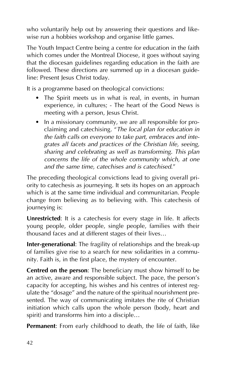who voluntarily help out by answering their questions and likewise run a hobbies workshop and organise little games.

The Youth Impact Centre being a centre for education in the faith which comes under the Montreal Diocese, it goes without saying that the diocesan guidelines regarding education in the faith are followed. These directions are summed up in a diocesan guideline: Present Jesus Christ today.

It is a programme based on theological convictions:

- The Spirit meets us in what is real, in events, in human experience, in cultures; - The heart of the Good News is meeting with a person, Jesus Christ.
- In a missionary community, we are all responsible for proclaiming and catechising. "*The local plan for education in the faith calls on everyone to take part, embraces and integrates all facets and practices of the Christian life, seeing, sharing and celebrating as well as transforming. This plan concerns the life of the whole community which, at one and the same time, catechises and is catechised*."

The preceding theological convictions lead to giving overall priority to catechesis as journeying. It sets its hopes on an approach which is at the same time individual and communitarian. People change from believing as to believing with. This catechesis of journeying is:

**Unrestricted**: It is a catechesis for every stage in life. It affects young people, older people, single people, families with their thousand faces and at different stages of their lives…

**Inter-generational**: The fragility of relationships and the break-up of families give rise to a search for new solidarities in a community. Faith is, in the first place, the mystery of encounter.

**Centred on the person**: The beneficiary must show himself to be an active, aware and responsible subject. The pace, the person's capacity for accepting, his wishes and his centres of interest regulate the "dosage" and the nature of the spiritual nourishment presented. The way of communicating imitates the rite of Christian initiation which calls upon the whole person (body, heart and spirit) and transforms him into a disciple…

**Permanent**: From early childhood to death, the life of faith, like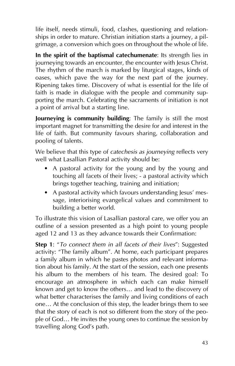life itself, needs stimuli, food, clashes, questioning and relationships in order to mature. Christian initiation starts a journey, a pilgrimage, a conversion which goes on throughout the whole of life.

**In the spirit of the baptismal catechumenate**: Its strength lies in journeying towards an encounter, the encounter with Jesus Christ. The rhythm of the march is marked by liturgical stages, kinds of oases, which pave the way for the next part of the journey. Ripening takes time. Discovery of what is essential for the life of faith is made in dialogue with the people and community supporting the march. Celebrating the sacraments of initiation is not a point of arrival but a starting line.

**Journeying is community building**: The family is still the most important magnet for transmitting the desire for and interest in the life of faith. But community favours sharing, collaboration and pooling of talents.

We believe that this type of *catechesis as journeying* reflects very well what Lasallian Pastoral activity should be:

- A pastoral activity for the young and by the young and touching all facets of their lives; - a pastoral activity which brings together teaching, training and initiation;
- A pastoral activity which favours understanding Jesus' message, interiorising evangelical values and commitment to building a better world.

To illustrate this vision of Lasallian pastoral care, we offer you an outline of a session presented as a high point to young people aged 12 and 13 as they advance towards their Confirmation:

**Step 1**: "*To connect them in all facets of their lives*": Suggested activity: "The family album". At home, each participant prepares a family album in which he pastes photos and relevant information about his family. At the start of the session, each one presents his album to the members of his team. The desired goal: To encourage an atmosphere in which each can make himself known and get to know the others… and lead to the discovery of what better characterises the family and living conditions of each one… At the conclusion of this step, the leader brings them to see that the story of each is not so different from the story of the people of God… He invites the young ones to continue the session by travelling along God's path.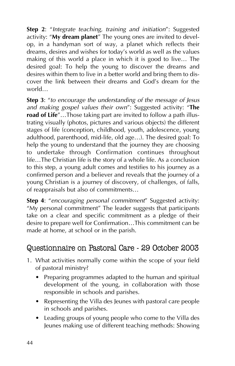**Step 2**: "*Integrate teaching, training and initiation*": Suggested activity: "**My dream planet**" The young ones are invited to develop, in a handyman sort of way, a planet which reflects their dreams, desires and wishes for today's world as well as the values making of this world a place in which it is good to live… The desired goal: To help the young to discover the dreams and desires within them to live in a better world and bring them to discover the link between their dreams and God's dream for the world…

**Step 3**: "*to encourage the understanding of the message of Jesus and making gospel values their own*": Suggested activity: "**The road of Life**"...Those taking part are invited to follow a path illustrating visually (photos, pictures and various objects) the different stages of life (conception, childhood, youth, adolescence, young adulthood, parenthood, mid-life, old age…). The desired goal: To help the young to understand that the journey they are choosing to undertake through Confirmation continues throughout life…The Christian life is the story of a whole life. As a conclusion to this step, a young adult comes and testifies to his journey as a confirmed person and a believer and reveals that the journey of a young Christian is a journey of discovery, of challenges, of falls, of reappraisals but also of commitments…

**Step 4**: "*encouraging personal commitment*" Suggested activity: "My personal commitment" The leader suggests that participants take on a clear and specific commitment as a pledge of their desire to prepare well for Confirmation…This commitment can be made at home, at school or in the parish.

# Questionnaire on Pastoral Care - 29 October 2003

- 1. What activities normally come within the scope of your field of pastoral ministry?
	- Preparing programmes adapted to the human and spiritual development of the young, in collaboration with those responsible in schools and parishes.
	- Representing the Villa des Jeunes with pastoral care people in schools and parishes.
	- Leading groups of young people who come to the Villa des Jeunes making use of different teaching methods: Showing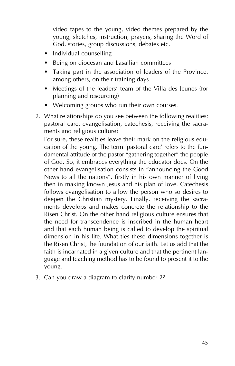video tapes to the young, video themes prepared by the young, sketches, instruction, prayers, sharing the Word of God, stories, group discussions, debates etc.

- Individual counselling
- Being on diocesan and Lasallian committees
- Taking part in the association of leaders of the Province, among others, on their training days
- Meetings of the leaders' team of the Villa des Jeunes (for planning and resourcing)
- Welcoming groups who run their own courses.
- 2. What relationships do you see between the following realities: pastoral care, evangelisation, catechesis, receiving the sacraments and religious culture?

For sure, these realities leave their mark on the religious education of the young. The term 'pastoral care' refers to the fundamental attitude of the pastor "gathering together" the people of God. So, it embraces everything the educator does. On the other hand evangelisation consists in "announcing the Good News to all the nations", firstly in his own manner of living then in making known Jesus and his plan of love. Catechesis follows evangelisation to allow the person who so desires to deepen the Christian mystery. Finally, receiving the sacraments develops and makes concrete the relationship to the Risen Christ. On the other hand religious culture ensures that the need for transcendence is inscribed in the human heart and that each human being is called to develop the spiritual dimension in his life. What ties these dimensions together is the Risen Christ, the foundation of our faith. Let us add that the faith is incarnated in a given culture and that the pertinent language and teaching method has to be found to present it to the young.

3. Can you draw a diagram to clarify number 2?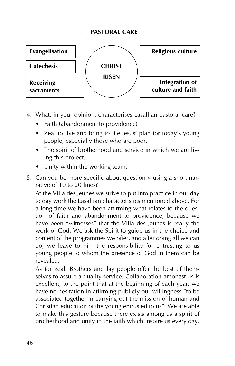

- 4. What, in your opinion, characterises Lasallian pastoral care?
	- Faith (abandonment to providence)
	- Zeal to live and bring to life Jesus' plan for today's young people, especially those who are poor.
	- The spirit of brotherhood and service in which we are living this project.
	- Unity within the working team.
- 5. Can you be more specific about question 4 using a short narrative of 10 to 20 lines?

At the Villa des Jeunes we strive to put into practice in our day to day work the Lasallian characteristics mentioned above. For a long time we have been affirming what relates to the question of faith and abandonment to providence, because we have been "witnesses" that the Villa des Jeunes is really the work of God. We ask the Spirit to guide us in the choice and content of the programmes we offer, and after doing all we can do, we leave to him the responsibility for entrusting to us young people to whom the presence of God in them can be revealed.

As for zeal, Brothers and lay people offer the best of themselves to assure a quality service. Collaboration amongst us is excellent, to the point that at the beginning of each year, we have no hesitation in affirming publicly our willingness "to be associated together in carrying out the mission of human and Christian education of the young entrusted to us". We are able to make this gesture because there exists among us a spirit of brotherhood and unity in the faith which inspire us every day.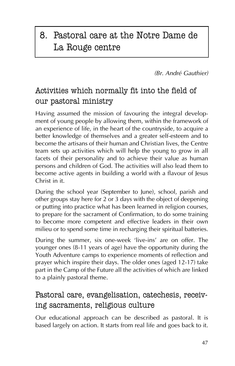# 8. Pastoral care at the Notre Dame de La Rouge centre

*(Br. André Gauthier)*

# Activities which normally fit into the field of our pastoral ministry

Having assumed the mission of favouring the integral development of young people by allowing them, within the framework of an experience of life, in the heart of the countryside, to acquire a better knowledge of themselves and a greater self-esteem and to become the artisans of their human and Christian lives, the Centre team sets up activities which will help the young to grow in all facets of their personality and to achieve their value as human persons and children of God. The activities will also lead them to become active agents in building a world with a flavour of Jesus Christ in it.

During the school year (September to June), school, parish and other groups stay here for 2 or 3 days with the object of deepening or putting into practice what has been learned in religion courses, to prepare for the sacrament of Confirmation, to do some training to become more competent and effective leaders in their own milieu or to spend some time in recharging their spiritual batteries.

During the summer, six one-week 'live-ins' are on offer. The younger ones (8-11 years of age) have the opportunity during the Youth Adventure camps to experience moments of reflection and prayer which inspire their days. The older ones (aged 12-17) take part in the Camp of the Future all the activities of which are linked to a plainly pastoral theme.

# Pastoral care, evangelisation, catechesis, receiving sacraments, religious culture

Our educational approach can be described as pastoral. It is based largely on action. It starts from real life and goes back to it.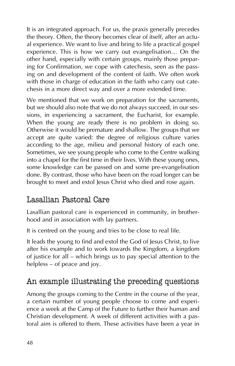It is an integrated approach. For us, the praxis generally precedes the theory. Often, the theory becomes clear of itself, after an actual experience. We want to live and bring to life a practical gospel experience. This is how we carry out evangelisation… On the other hand, especially with certain groups, mainly those preparing for Confirmation, we cope with catechesis, seen as the passing on and development of the content of faith. We often work with those in charge of education in the faith who carry out catechesis in a more direct way and over a more extended time.

We mentioned that we work on preparation for the sacraments, but we should also note that we do not always succeed, in our sessions, in experiencing a sacrament, the Eucharist, for example. When the young are ready there is no problem in doing so. Otherwise it would be premature and shallow. The groups that we accept are quite varied: the degree of religious culture varies according to the age, milieu and personal history of each one. Sometimes, we see young people who come to the Centre walking into a chapel for the first time in their lives. With these young ones, some knowledge can be passed on and some pre-evangelisation done. By contrast, those who have been on the road longer can be brought to meet and extol Jesus Christ who died and rose again.

# Lasallian Pastoral Care

Lasallian pastoral care is experienced in community, in brotherhood and in association with lay partners.

It is centred on the young and tries to be close to real life.

It leads the young to find and extol the God of Jesus Christ, to live after his example and to work towards the Kingdom, a kingdom of justice for all — which brings us to pay special attention to the helpless — of peace and joy.

# An example illustrating the preceding questions

Among the groups coming to the Centre in the course of the year, a certain number of young people choose to come and experience a week at the Camp of the Future to further their human and Christian development. A week of different activities with a pastoral aim is offered to them. These activities have been a year in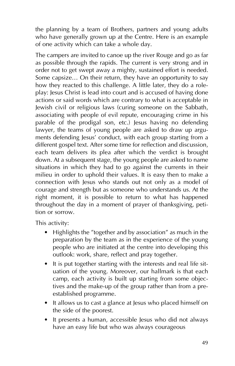the planning by a team of Brothers, partners and young adults who have generally grown up at the Centre. Here is an example of one activity which can take a whole day.

The campers are invited to canoe up the river Rouge and go as far as possible through the rapids. The current is very strong and in order not to get swept away a mighty, sustained effort is needed. Some capsize… On their return, they have an opportunity to say how they reacted to this challenge. A little later, they do a roleplay: Jesus Christ is lead into court and is accused of having done actions or said words which are contrary to what is acceptable in Jewish civil or religious laws (curing someone on the Sabbath, associating with people of evil repute, encouraging crime in his parable of the prodigal son, etc.) Jesus having no defending lawyer, the teams of young people are asked to draw up arguments defending Jesus' conduct, with each group starting from a different gospel text. After some time for reflection and discussion, each team delivers its plea after which the verdict is brought down. At a subsequent stage, the young people are asked to name situations in which they had to go against the currents in their milieu in order to uphold their values. It is easy then to make a connection with Jesus who stands out not only as a model of courage and strength but as someone who understands us. At the right moment, it is possible to return to what has happened throughout the day in a moment of prayer of thanksgiving, petition or sorrow.

This activity:

- Highlights the "together and by association" as much in the preparation by the team as in the experience of the young people who are initiated at the centre into developing this outlook: work, share, reflect and pray together.
- It is put together starting with the interests and real life situation of the young. Moreover, our hallmark is that each camp, each activity is built up starting from some objectives and the make-up of the group rather than from a preestablished programme.
- It allows us to cast a glance at Jesus who placed himself on the side of the poorest.
- It presents a human, accessible Jesus who did not always have an easy life but who was always courageous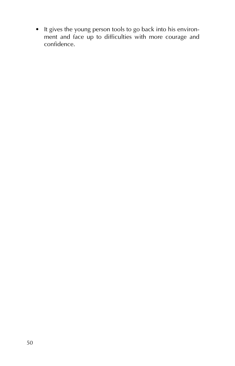• It gives the young person tools to go back into his environment and face up to difficulties with more courage and confidence.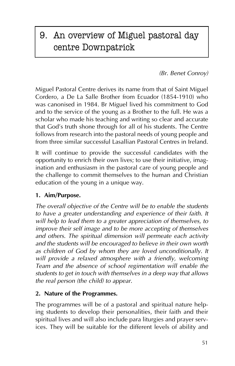# 9. An overview of Miguel pastoral day centre Downpatrick

*(Br. Benet Conroy)*

Miguel Pastoral Centre derives its name from that of Saint Miguel Cordero, a De La Salle Brother from Ecuador (1854-1910) who was canonised in 1984. Br Miguel lived his commitment to God and to the service of the young as a Brother to the full. He was a scholar who made his teaching and writing so clear and accurate that God's truth shone through for all of his students. The Centre follows from research into the pastoral needs of young people and from three similar successful Lasallian Pastoral Centres in Ireland.

It will continue to provide the successful candidates with the opportunity to enrich their own lives; to use their initiative, imagination and enthusiasm in the pastoral care of young people and the challenge to commit themselves to the human and Christian education of the young in a unique way.

## **1. Aim/Purpose.**

*The overall objective of the Centre will be to enable the students to have a greater understanding and experience of their faith. It will help to lead them to a greater appreciation of themselves, to improve their self image and to be more accepting of themselves and others. The spiritual dimension will permeate each activity and the students will be encouraged to believe in their own worth as children of God by whom they are loved unconditionally. It will provide a relaxed atmosphere with a friendly, welcoming Team and the absence of school regimentation will enable the students to get in touch with themselves in a deep way that allows the real person (the child) to appear.*

## **2. Nature of the Programmes.**

The programmes will be of a pastoral and spiritual nature helping students to develop their personalities, their faith and their spiritual lives and will also include para liturgies and prayer services. They will be suitable for the different levels of ability and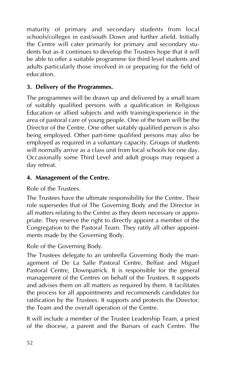maturity of primary and secondary students from local schools/colleges in east/south Down and further afield. Initially the Centre will cater primarily for primary and secondary students but as it continues to develop the Trustees hope that it will be able to offer a suitable programme for third level students and adults particularly those involved in or preparing for the field of education.

## **3. Delivery of the Programmes.**

The programmes will be drawn up and delivered by a small team of suitably qualified persons with a qualification in Religious Education or allied subjects and with training/experience in the area of pastoral care of young people. One of the team will be the Director of the Centre. One other suitably qualified person is also being employed. Other part-time qualified persons may also be employed as required in a voluntary capacity. Groups of students will normally arrive as a class unit from local schools for one day. Occasionally some Third Level and adult groups may request a day retreat.

## **4. Management of the Centre.**

Role of the Trustees.

The Trustees have the ultimate responsibility for the Centre. Their role supersedes that of The Governing Body and the Director in all matters relating to the Centre as they deem necessary or appropriate. They reserve the right to directly appoint a member of the Congregation to the Pastoral Team. They ratify all other appointments made by the Governing Body.

Role of the Governing Body.

The Trustees delegate to an umbrella Governing Body the management of De La Salle Pastoral Centre, Belfast and Miguel Pastoral Centre, Downpatrick. It is responsible for the general management of the Centres on behalf of the Trustees. It supports and advises them on all matters as required by them. It facilitates the process for all appointments and recommends candidates for ratification by the Trustees. It supports and protects the Director, the Team and the overall operation of the Centre.

It will include a member of the Trustee Leadership Team, a priest of the diocese, a parent and the Bursars of each Centre. The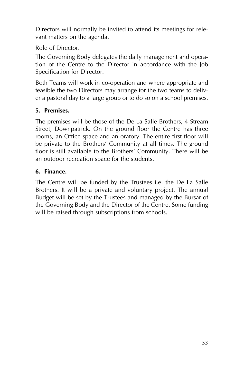Directors will normally be invited to attend its meetings for relevant matters on the agenda.

Role of Director.

The Governing Body delegates the daily management and operation of the Centre to the Director in accordance with the Job Specification for Director.

Both Teams will work in co-operation and where appropriate and feasible the two Directors may arrange for the two teams to deliver a pastoral day to a large group or to do so on a school premises.

## **5. Premises.**

The premises will be those of the De La Salle Brothers, 4 Stream Street, Downpatrick. On the ground floor the Centre has three rooms, an Office space and an oratory. The entire first floor will be private to the Brothers' Community at all times. The ground floor is still available to the Brothers' Community. There will be an outdoor recreation space for the students.

## **6. Finance.**

The Centre will be funded by the Trustees i.e. the De La Salle Brothers. It will be a private and voluntary project. The annual Budget will be set by the Trustees and managed by the Bursar of the Governing Body and the Director of the Centre. Some funding will be raised through subscriptions from schools.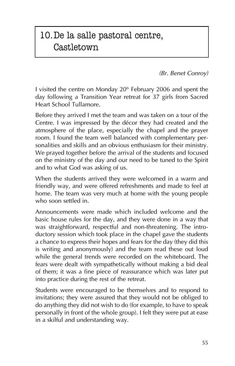# 10.De la salle pastoral centre, Castletown

*(Br. Benet Conroy)*

I visited the centre on Monday 20<sup>th</sup> February 2006 and spent the day following a Transition Year retreat for 37 girls from Sacred Heart School Tullamore.

Before they arrived I met the team and was taken on a tour of the Centre. I was impressed by the décor they had created and the atmosphere of the place, especially the chapel and the prayer room. I found the team well balanced with complementary personalities and skills and an obvious enthusiasm for their ministry. We prayed together before the arrival of the students and focused on the ministry of the day and our need to be tuned to the Spirit and to what God was asking of us.

When the students arrived they were welcomed in a warm and friendly way, and were offered refreshments and made to feel at home. The team was very much at home with the young people who soon settled in.

Announcements were made which included welcome and the basic house rules for the day, and they were done in a way that was straightforward, respectful and non-threatening. The introductory session which took place in the chapel gave the students a chance to express their hopes and fears for the day (they did this is writing and anonymously) and the team read these out loud while the general trends were recorded on the whiteboard. The fears were dealt with sympathetically without making a bid deal of them; it was a fine piece of reassurance which was later put into practice during the rest of the retreat.

Students were encouraged to be themselves and to respond to invitations; they were assured that they would not be obliged to do anything they did not wish to do (for example, to have to speak personally in front of the whole group). I felt they were put at ease in a skilful and understanding way.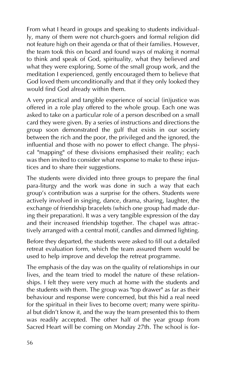From what I heard in groups and speaking to students individually, many of them were not church-goers and formal religion did not feature high on their agenda or that of their families. However, the team took this on board and found ways of making it normal to think and speak of God, spirituality, what they believed and what they were exploring. Some of the small group work, and the meditation I experienced, gently encouraged them to believe that God loved them unconditionally and that if they only looked they would find God already within them.

A very practical and tangible experience of social (in)justice was offered in a role play offered to the whole group. Each one was asked to take on a particular role of a person described on a small card they were given. By a series of instructions and directions the group soon demonstrated the gulf that exists in our society between the rich and the poor, the privileged and the ignored, the influential and those with no power to effect change. The physical "mapping" of these divisions emphasised their reality; each was then invited to consider what response to make to these injustices and to share their suggestions.

The students were divided into three groups to prepare the final para-liturgy and the work was done in such a way that each group's contribution was a surprise for the others. Students were actively involved in singing, dance, drama, sharing, laughter, the exchange of friendship bracelets (which one group had made during their preparation). It was a very tangible expression of the day and their increased friendship together. The chapel was attractively arranged with a central motif, candles and dimmed lighting.

Before they departed, the students were asked to fill out a detailed retreat evaluation form, which the team assured them would be used to help improve and develop the retreat programme.

The emphasis of the day was on the quality of relationships in our lives, and the team tried to model the nature of these relationships. I felt they were very much at home with the students and the students with them. The group was "top drawer" as far as their behaviour and response were concerned, but this hid a real need for the spiritual in their lives to become overt; many were spiritual but didn't know it, and the way the team presented this to them was readily accepted. The other half of the year group from Sacred Heart will be coming on Monday 27th. The school is for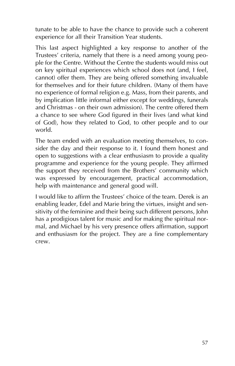tunate to be able to have the chance to provide such a coherent experience for all their Transition Year students.

This last aspect highlighted a key response to another of the Trustees' criteria, namely that there is a need among young people for the Centre. Without the Centre the students would miss out on key spiritual experiences which school does not (and, I feel, cannot) offer them. They are being offered something invaluable for themselves and for their future children. (Many of them have no experience of formal religion e.g. Mass, from their parents, and by implication little informal either except for weddings, funerals and Christmas - on their own admission). The centre offered them a chance to see where God figured in their lives (and what kind of God), how they related to God, to other people and to our world.

The team ended with an evaluation meeting themselves, to consider the day and their response to it. I found them honest and open to suggestions with a clear enthusiasm to provide a quality programme and experience for the young people. They affirmed the support they received from the Brothers' community which was expressed by encouragement, practical accommodation, help with maintenance and general good will.

I would like to affirm the Trustees' choice of the team. Derek is an enabling leader, Edel and Marie bring the virtues, insight and sensitivity of the feminine and their being such different persons, John has a prodigious talent for music and for making the spiritual normal, and Michael by his very presence offers affirmation, support and enthusiasm for the project. They are a fine complementary crew.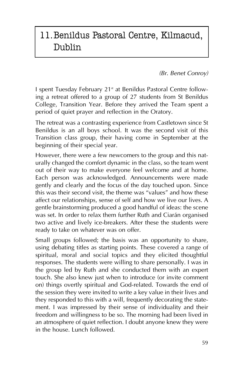# 11.Benildus Pastoral Centre, Kilmacud, Dublin

*(Br. Benet Conroy)*

I spent Tuesday February 21<sup>st</sup> at Benildus Pastoral Centre following a retreat offered to a group of 27 students from St Benildus College, Transition Year. Before they arrived the Team spent a period of quiet prayer and reflection in the Oratory.

The retreat was a contrasting experience from Castletown since St Benildus is an all boys school. It was the second visit of this Transition class group, their having come in September at the beginning of their special year.

However, there were a few newcomers to the group and this naturally changed the comfort dynamic in the class, so the team went out of their way to make everyone feel welcome and at home. Each person was acknowledged. Announcements were made gently and clearly and the focus of the day touched upon. Since this was their second visit, the theme was "values" and how these affect our relationships, sense of self and how we live our lives. A gentle brainstorming produced a good handful of ideas: the scene was set. In order to relax them further Ruth and Ciarán organised two active and lively ice-breakers. After these the students were ready to take on whatever was on offer.

Small groups followed; the basis was an opportunity to share, using debating titles as starting points. These covered a range of spiritual, moral and social topics and they elicited thoughtful responses. The students were willing to share personally. I was in the group led by Ruth and she conducted them with an expert touch. She also knew just when to introduce (or invite comment on) things overtly spiritual and God-related. Towards the end of the session they were invited to write a key value in their lives and they responded to this with a will, frequently decorating the statement. I was impressed by their sense of individuality and their freedom and willingness to be so. The morning had been lived in an atmosphere of quiet reflection. I doubt anyone knew they were in the house. Lunch followed.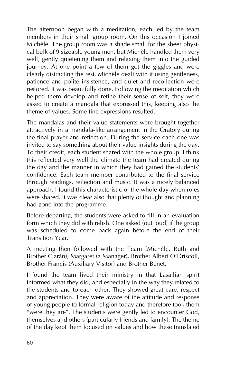The afternoon began with a meditation, each led by the team members in their small group room. On this occasion I joined Michèle. The group room was a shade small for the sheer physical bulk of 9 sizeable young men, but Michèle handled them very well, gently quietening them and relaxing them into the guided journey. At one point a few of them got the giggles and were clearly distracting the rest. Michèle dealt with it using gentleness, patience and polite insistence, and quiet and recollection were restored. It was beautifully done. Following the meditation which helped them develop and refine their sense of self, they were asked to create a mandala that expressed this, keeping also the theme of values. Some fine expressions resulted.

The mandalas and their value statements were brought together attractively in a mandala-like arrangement in the Oratory during the final prayer and reflection. During the service each one was invited to say something about their value insights during the day. To their credit, each student shared with the whole group. I think this reflected very well the climate the team had created during the day and the manner in which they had gained the students' confidence. Each team member contributed to the final service through readings, reflection and music. It was a nicely balanced approach. I found this characteristic of the whole day when roles were shared. It was clear also that plenty of thought and planning had gone into the programme.

Before departing, the students were asked to fill in an evaluation form which they did with relish. One asked (out loud) if the group was scheduled to come back again before the end of their Transition Year.

A meeting then followed with the Team (Michèle, Ruth and Brother Ciarán), Margaret (a Manager), Brother Albert O'Driscoll, Brother Francis (Auxiliary Visitor) and Brother Benet.

I found the team lived their ministry in that Lasallian spirit informed what they did, and especially in the way they related to the students and to each other. They showed great care, respect and appreciation. They were aware of the attitude and response of young people to formal religion today and therefore took them "were they are". The students were gently led to encounter God, themselves and others (particularly friends and family). The theme of the day kept them focused on values and how these translated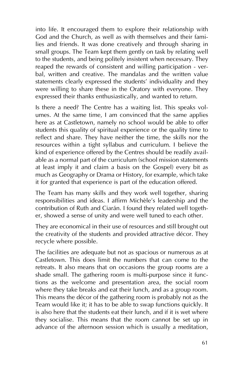into life. It encouraged them to explore their relationship with God and the Church, as well as with themselves and their families and friends. It was done creatively and through sharing in small groups. The Team kept them gently on task by relating well to the students, and being politely insistent when necessary. They reaped the rewards of consistent and willing participation - verbal, written and creative. The mandalas and the written value statements clearly expressed the students' individuality and they were willing to share these in the Oratory with everyone. They expressed their thanks enthusiastically, and wanted to return.

Is there a need? The Centre has a waiting list. This speaks volumes. At the same time, I am convinced that the same applies here as at Castletown, namely no school would be able to offer students this quality of spiritual experience or the quality time to reflect and share. They have neither the time, the skills nor the resources within a tight syllabus and curriculum. I believe the kind of experience offered by the Centres should be readily available as a normal part of the curriculum (school mission statements at least imply it and claim a basis on the Gospel) every bit as much as Geography or Drama or History, for example, which take it for granted that experience is part of the education offered.

The Team has many skills and they work well together, sharing responsibilities and ideas. I affirm Michèle's leadership and the contribution of Ruth and Ciarán. I found they related well together, showed a sense of unity and were well tuned to each other.

They are economical in their use of resources and still brought out the creativity of the students and provided attractive décor. They recycle where possible.

The facilities are adequate but not as spacious or numerous as at Castletown. This does limit the numbers that can come to the retreats. It also means that on occasions the group rooms are a shade small. The gathering room is multi-purpose since it functions as the welcome and presentation area, the social room where they take breaks and eat their lunch, and as a group room. This means the décor of the gathering room is probably not as the Team would like it; it has to be able to swap functions quickly. It is also here that the students eat their lunch, and if it is wet where they socialise. This means that the room cannot be set up in advance of the afternoon session which is usually a meditation,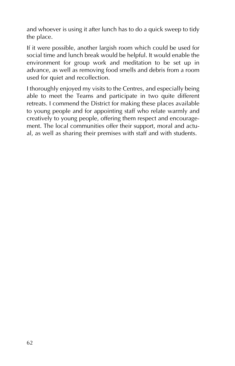and whoever is using it after lunch has to do a quick sweep to tidy the place.

If it were possible, another largish room which could be used for social time and lunch break would be helpful. It would enable the environment for group work and meditation to be set up in advance, as well as removing food smells and debris from a room used for quiet and recollection.

I thoroughly enjoyed my visits to the Centres, and especially being able to meet the Teams and participate in two quite different retreats. I commend the District for making these places available to young people and for appointing staff who relate warmly and creatively to young people, offering them respect and encouragement. The local communities offer their support, moral and actual, as well as sharing their premises with staff and with students.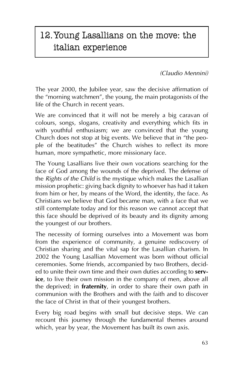# 12.Young Lasallians on the move: the italian experience

*(Claudio Mennini)*

The year 2000, the Jubilee year, saw the decisive affirmation of the "morning watchmen", the young, the main protagonists of the life of the Church in recent years.

We are convinced that it will not be merely a big caravan of colours, songs, slogans, creativity and everything which fits in with youthful enthusiasm; we are convinced that the young Church does not stop at big events. We believe that in "the people of the beatitudes" the Church wishes to reflect its more human, more sympathetic, more missionary face.

The Young Lasallians live their own vocations searching for the face of God among the wounds of the deprived. The defense of the *Rights of the Child* is the mystique which makes the Lasallian mission prophetic: giving back dignity to whoever has had it taken from him or her, by means of the Word, the identity, the face. As Christians we believe that God became man, with a face that we still contemplate today and for this reason we cannot accept that this face should be deprived of its beauty and its dignity among the youngest of our brothers.

The necessity of forming ourselves into a Movement was born from the experience of community, a genuine rediscovery of Christian sharing and the vital sap for the Lasallian charism. In 2002 the Young Lasallian Movement was born without official ceremonies. Some friends, accompanied by two Brothers, decided to unite their own time and their own duties according to **service**, to live their own mission in the company of men, above all the deprived; in **fraternity**, in order to share their own path in communion with the Brothers and with the faith and to discover the face of Christ in that of their youngest brothers.

Every big road begins with small but decisive steps. We can recount this journey through the fundamental themes around which, year by year, the Movement has built its own axis.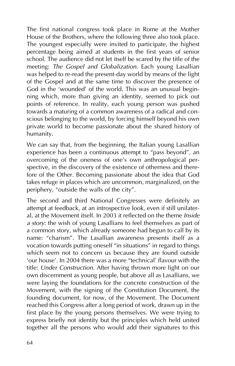The first national congress took place in Rome at the Mother House of the Brothers, where the following three also took place. The youngest especially were invited to participate, the highest percentage being aimed at students in the first years of senior school. The audience did not let itself be scared by the title of the meeting: *The Gospel and Globalization*. Each young Lasallian was helped to re-read the present-day world by means of the light of the Gospel and at the same time to discover the presence of God in the 'wounded' of the world. This was an unusual beginning which, more than giving an identity, seemed to pick out points of reference. In reality, each young person was pushed towards a maturing of a common awareness of a radical and conscious belonging to the world, by forcing himself beyond his own private world to become passionate about the shared history of humanity.

We can say that, from the beginning, the Italian young Lasallian experience has been a continuous attempt to "pass beyond", an overcoming of the oneness of one's own anthropological perspective, in the discovery of the existence of otherness and therefore of the Other. Becoming passionate about the idea that God takes refuge in places which are uncommon, marginalized, on the periphery, "outside the walls of the city".

The second and third National Congresses were definitely an attempt at feedback, at an introspective look, even if still unilateral, at the Movement itself. In 2003 it reflected on the theme *Inside a story*: the wish of young Lasallians to feel themselves as part of a common story, which already someone had begun to call by its name: "charism". The Lasallian awareness presents itself as a vocation towards putting oneself "in situations" in regard to things which seem not to concern us because they are found outside 'our house'. In 2004 there was a more "technical' flavour with the title: *Under Construction*. After having thrown more light on our own discernment as young people, but above all as Lasallians, we were laying the foundations for the concrete construction of the Movement, with the signing of the Constitution Document, the founding document, for now, of the Movement. The Document reached this Congress after a long period of work, drawn up in the first place by the young persons themselves. We were trying to express briefly not identity but the principles which held united together all the persons who would add their signatures to this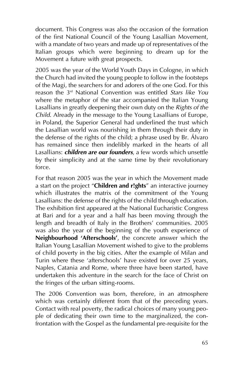document. This Congress was also the occasion of the formation of the first National Council of the Young Lasallian Movement, with a mandate of two years and made up of representatives of the Italian groups which were beginning to dream up for the Movement a future with great prospects.

2005 was the year of the World Youth Days in Cologne, in which the Church had invited the young people to follow in the footsteps of the Magi, the searchers for and adorers of the one God. For this reason the 3rd National Convention was entitled *Stars like You* where the metaphor of the star accompanied the Italian Young Lasallians in greatly deepening their own duty on the *Rights of the Child*. Already in the message to the Young Lasallians of Europe, in Poland, the Superior General had underlined the trust which the Lasallian world was nourishing in them through their duty in the defense of the rights of the child; a phrase used by Br. Álvaro has remained since then indelibly marked in the hearts of all Lasallians: *children are our founders*, a few words which unsettle by their simplicity and at the same time by their revolutionary force.

For that reason 2005 was the year in which the Movement made a start on the project "**Children and r!ghts**" an interactive journey which illustrates the matrix of the commitment of the Young Lasallians: the defense of the rights of the child through education. The exhibition first appeared at the National Eucharistic Congress at Bari and for a year and a half has been moving through the length and breadth of Italy in the Brothers' communities. 2005 was also the year of the beginning of the youth experience of **Neighbourhood 'Afterschools'**, the concrete answer which the Italian Young Lasallian Movement wished to give to the problems of child poverty in the big cities. After the example of Milan and Turin where these 'afterschools' have existed for over 25 years, Naples, Catania and Rome, where three have been started, have undertaken this adventure in the search for the face of Christ on the fringes of the urban sitting-rooms.

The 2006 Convention was born, therefore, in an atmosphere which was certainly different from that of the preceding years. Contact with real poverty, the radical choices of many young people of dedicating their own time to the marginalized, the confrontation with the Gospel as the fundamental pre-requisite for the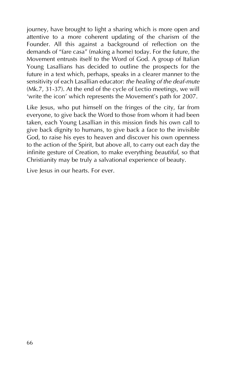journey, have brought to light a sharing which is more open and attentive to a more coherent updating of the charism of the Founder. All this against a background of reflection on the demands of "fare casa" (making a home) today. For the future, the Movement entrusts itself to the Word of God. A group of Italian Young Lasallians has decided to outline the prospects for the future in a text which, perhaps, speaks in a clearer manner to the sensitivity of each Lasallian educator: *the healing of the deaf-mute* (Mk.7, 31-37). At the end of the cycle of Lectio meetings, we will 'write the icon' which represents the Movement's path for 2007.

Like Jesus, who put himself on the fringes of the city, far from everyone, to give back the Word to those from whom it had been taken, each Young Lasallian in this mission finds his own call to give back dignity to humans, to give back a face to the invisible God, to raise his eyes to heaven and discover his own openness to the action of the Spirit, but above all, to carry out each day the infinite gesture of Creation, to make everything *beautiful*, so that Christianity may be truly a salvational experience of beauty.

Live Jesus in our hearts. For ever.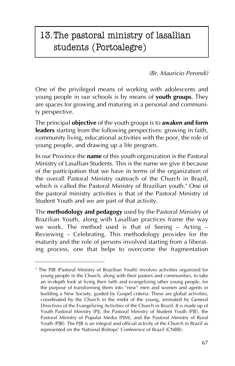# 13.The pastoral ministry of lasallian students (Portoalegre)

*(Br. Mauricio Perondi)*

One of the privileged means of working with adolescents and young people in our schools is by means of **youth groups**. They are spaces for growing and maturing in a personal and community perspective.

The principal **objective** of the youth groups is to **awaken and form** leaders starting from the following perspectives: growing in faith, community living, educational activities with the poor, the role of young people, and drawing up a life program.

In our Province the **name** of this youth organization is the Pastoral Ministry of Lasallian Students. This is the name we give it because of the participation that we have in terms of the organization of the overall Pastoral Ministry outreach of the Church in Brazil, which is called the Pastoral Ministry of Brazilian youth.<sup>9</sup> One of the pastoral ministry activities is that of the Pastoral Ministry of Student Youth and we are part of that activity.

The **methodology and pedagogy** used by the Pastoral Ministry of Brazilian Youth, along with Lasallian practices frame the way we work. The method used is that of Seeing — Acting — Reviewing — Celebrating. This methodology provides for the maturity and the role of persons involved starting from a liberating process, one that helps to overcome the fragmentation

<sup>9</sup> The PJB (Pastoral Ministry of Brazilian Youth) involves activities organized for young people in the Church, along with their pastors and communities, to take an in-depth look at living their faith and evangelizing other young people, for the purpose of transforming them into "new" men and women and agents in building a New Society, guided by Gospel criteria. These are global activities, coordinated by the Church in the midst of the young, animated by General Directives of the Evangelizing Activities of the Church in Brazil. It is made up of Youth Pastoral Ministry (PJ), the Pastoral Ministry of Student Youth (PJE), the Pastoral Ministry of Popular Media (PJM), and the Pastoral Ministry of Rural Youth (PJR). The PJB is an integral and official activity of the Church in Brazil as represented on the National Bishops' Conference of Brazil (CNBB).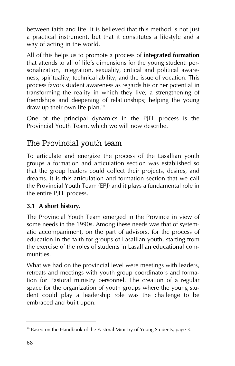between faith and life. It is believed that this method is not just a practical instrument, but that it constitutes a lifestyle and a way of acting in the world.

All of this helps us to promote a process of **integrated formation** that attends to all of life's dimensions for the young student: personalization, integration, sexuality, critical and political awareness, spirituality, technical ability, and the issue of vocation. This process favors student awareness as regards his or her potential in transforming the reality in which they live; a strengthening of friendships and deepening of relationships; helping the young draw up their own life plan.<sup>10</sup>

One of the principal dynamics in the PJEL process is the Provincial Youth Team, which we will now describe.

# The Provincial youth team

To articulate and energize the process of the Lasallian youth groups a formation and articulation section was established so that the group leaders could collect their projects, desires, and dreams. It is this articulation and formation section that we call the Provincial Youth Team (EPJ) and it plays a fundamental role in the entire PJEL process.

## **3.1 A short history.**

The Provincial Youth Team emerged in the Province in view of some needs in the 1990s. Among these needs was that of systematic accompaniment, on the part of advisors, for the process of education in the faith for groups of Lasallian youth, starting from the exercise of the roles of students in Lasallian educational communities.

What we had on the provincial level were meetings with leaders, retreats and meetings with youth group coordinators and formation for Pastoral ministry personnel. The creation of a regular space for the organization of youth groups where the young student could play a leadership role was the challenge to be embraced and built upon.

<sup>&</sup>lt;sup>10</sup> Based on the Handbook of the Pastoral Ministry of Young Students, page 3.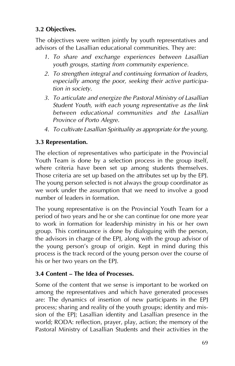# **3.2 Objectives.**

The objectives were written jointly by youth representatives and advisors of the Lasallian educational communities. They are:

- *1. To share and exchange experiences between Lasallian youth groups, starting from community experience.*
- *2. To strengthen integral and continuing formation of leaders, especially among the poor, seeking their active participation in society.*
- *3. To articulate and energize the Pastoral Ministry of Lasallian Student Youth, with each young representative as the link between educational communities and the Lasallian Province of Porto Alegre.*
- *4. To cultivate Lasallian Spirituality as appropriate for the young.*

# **3.3 Representation.**

The election of representatives who participate in the Provincial Youth Team is done by a selection process in the group itself, where criteria have been set up among students themselves. Those criteria are set up based on the attributes set up by the EPJ. The young person selected is not always the group coordinator as we work under the assumption that we need to involve a good number of leaders in formation.

The young representative is on the Provincial Youth Team for a period of two years and he or she can continue for one more year to work in formation for leadership ministry in his or her own group. This continuance is done by dialoguing with the person, the advisors in charge of the EPJ, along with the group advisor of the young person's group of origin. Kept in mind during this process is the track record of the young person over the course of his or her two years on the EPJ.

# **3.4 Content — The Idea of Processes.**

Some of the content that we sense is important to be worked on among the representatives and which have generated processes are: The dynamics of insertion of new participants in the EPJ process; sharing and reality of the youth groups; identity and mission of the EPJ; Lasallian identity and Lasallian presence in the world; RODA: reflection, prayer, play, action; the memory of the Pastoral Ministry of Lasallian Students and their activities in the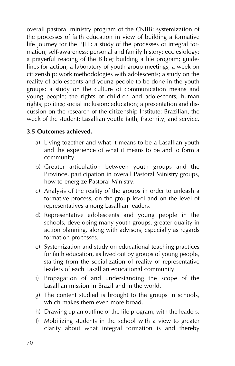overall pastoral ministry program of the CNBB; systemization of the processes of faith education in view of building a formative life journey for the PJEL; a study of the processes of integral formation; self-awareness; personal and family history; ecclesiology; a prayerful reading of the Bible; building a life program; guidelines for action; a laboratory of youth group meetings; a week on citizenship; work methodologies with adolescents; a study on the reality of adolescents and young people to be done in the youth groups; a study on the culture of communication means and young people; the rights of children and adolescents; human rights; politics; social inclusion; education; a presentation and discussion on the research of the citizenship Institute: Brazilian, the week of the student; Lasallian youth: faith, fraternity, and service.

### **3.5 Outcomes achieved.**

- a) Living together and what it means to be a Lasallian youth and the experience of what it means to be and to form a community.
- b) Greater articulation between youth groups and the Province, participation in overall Pastoral Ministry groups, how to energize Pastoral Ministry.
- c) Analysis of the reality of the groups in order to unleash a formative process, on the group level and on the level of representatives among Lasallian leaders.
- d) Representative adolescents and young people in the schools, developing many youth groups, greater quality in action planning, along with advisors, especially as regards formation processes.
- e) Systemization and study on educational teaching practices for faith education, as lived out by groups of young people, starting from the socialization of reality of representative leaders of each Lasallian educational community.
- f) Propagation of and understanding the scope of the Lasallian mission in Brazil and in the world.
- g) The content studied is brought to the groups in schools, which makes them even more broad.
- h) Drawing up an outline of the life program, with the leaders.
- I) Mobilizing students in the school with a view to greater clarity about what integral formation is and thereby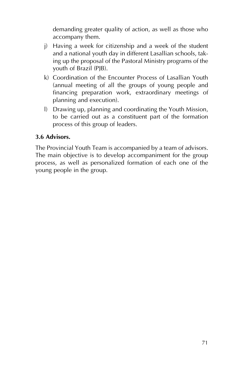demanding greater quality of action, as well as those who accompany them.

- j) Having a week for citizenship and a week of the student and a national youth day in different Lasallian schools, taking up the proposal of the Pastoral Ministry programs of the youth of Brazil (PJB).
- k) Coordination of the Encounter Process of Lasallian Youth (annual meeting of all the groups of young people and financing preparation work, extraordinary meetings of planning and execution).
- l) Drawing up, planning and coordinating the Youth Mission, to be carried out as a constituent part of the formation process of this group of leaders.

### **3.6 Advisors.**

The Provincial Youth Team is accompanied by a team of advisors. The main objective is to develop accompaniment for the group process, as well as personalized formation of each one of the young people in the group.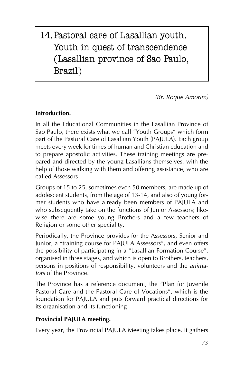# 14.Pastoral care of Lasallian youth. Youth in quest of transcendence (Lasallian province of Sao Paulo, Brazil)

*(Br. Roque Amorim)*

### **Introduction.**

In all the Educational Communities in the Lasallian Province of Sao Paulo, there exists what we call "Youth Groups" which form part of the Pastoral Care of Lasallian Youth (PAJULA). Each group meets every week for times of human and Christian education and to prepare apostolic activities. These training meetings are prepared and directed by the young Lasallians themselves, with the help of those walking with them and offering assistance, who are called Assessors

Groups of 15 to 25, sometimes even 50 members, are made up of adolescent students, from the age of 13-14, and also of young former students who have already been members of PAJULA and who subsequently take on the functions of Junior Assessors; likewise there are some young Brothers and a few teachers of Religion or some other speciality.

Periodically, the Province provides for the Assessors, Senior and Junior, a "training course for PAJULA Assessors", and even offers the possibility of participating in a "Lasallian Formation Course", organised in three stages, and which is open to Brothers, teachers, persons in positions of responsibility, volunteers and the *animators* of the Province.

The Province has a reference document, the "Plan for Juvenile Pastoral Care and the Pastoral Care of Vocations", which is the foundation for PAJULA and puts forward practical directions for its organisation and its functioning

### **Provincial PAJULA meeting.**

Every year, the Provincial PAJULA Meeting takes place. It gathers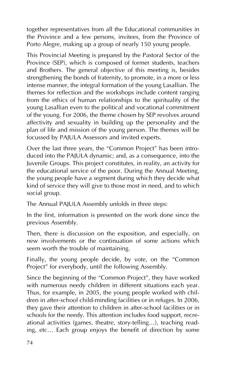together representatives from all the Educational communities in the Province and a few persons, invitees, from the Province of Porto Alegre, making up a group of nearly 150 young people.

This Provincial Meeting is prepared by the Pastoral Sector of the Province (SEP), which is composed of former students, teachers and Brothers. The general objective of this meeting is, besides strengthening the bonds of fraternity, to promote, in a more or less intense manner, the integral formation of the young Lasallian. The themes for reflection and the workshops include content ranging from the ethics of human relationships to the spirituality of the young Lasallian even to the political and vocational commitment of the young. For 2006, the theme chosen by SEP revolves around affectivity and sexuality in building up the personality and the plan of life and mission of the young person. The themes will be focussed by PAJULA Assessors and invited experts.

Over the last three years, the "Common Project" has been introduced into the PAJULA dynamic; and, as a consequence, into the Juvenile Groups. This project constitutes, in reality, an activity for the educational service of the poor. During the Annual Meeting, the young people have a segment during which they decide what kind of service they will give to those most in need, and to which social group.

The Annual PAJULA Assembly unfolds in three steps:

In the first, information is presented on the work done since the previous Assembly.

Then, there is discussion on the exposition, and especially, on new involvements or the continuation of some actions which seem worth the trouble of maintaining.

Finally, the young people decide, by vote, on the "Common Project" for everybody, until the following Assembly.

Since the beginning of the "Common Project", they have worked with numerous needy children in different situations each year. Thus, for example, in 2005, the young people worked with children in after-school child-minding facilities or in refuges. In 2006, they gave their attention to children in after-school facilities or in schools for the needy. This attention includes food support, recreational activities (games, theatre, story-telling…), teaching reading, etc… Each group enjoys the benefit of direction by some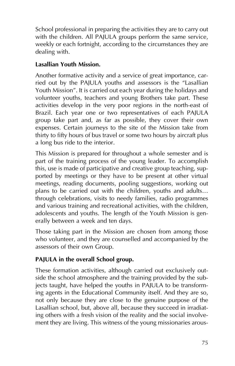School professional in preparing the activities they are to carry out with the children. All PAJULA groups perform the same service, weekly or each fortnight, according to the circumstances they are dealing with.

### **Lasallian Youth Mission.**

Another formative activity and a service of great importance, carried out by the PAJULA youths and assessors is the "Lasallian Youth Mission". It is carried out each year during the holidays and volunteer youths, teachers and young Brothers take part. These activities develop in the very poor regions in the north-east of Brazil. Each year one or two representatives of each PAJULA group take part and, as far as possible, they cover their own expenses. Certain journeys to the site of the Mission take from thirty to fifty hours of bus travel or some two hours by aircraft plus a long bus ride to the interior.

This Mission is prepared for throughout a whole semester and is part of the training process of the young leader. To accomplish this, use is made of participative and creative group teaching, supported by meetings or they have to be present at other virtual meetings, reading documents, pooling suggestions, working out plans to be carried out with the children, youths and adults… through celebrations, visits to needy families, radio programmes and various training and recreational activities, with the children, adolescents and youths. The length of the Youth Mission is generally between a week and ten days.

Those taking part in the Mission are chosen from among those who volunteer, and they are counselled and accompanied by the assessors of their own Group.

## **PAJULA in the overall School group.**

These formation activities, although carried out exclusively outside the school atmosphere and the training provided by the subjects taught, have helped the youths in PAJULA to be transforming agents in the Educational Community itself. And they are so, not only because they are close to the genuine purpose of the Lasallian school, but, above all, because they succeed in irradiating others with a fresh vision of the reality and the social involvement they are living. This witness of the young missionaries arous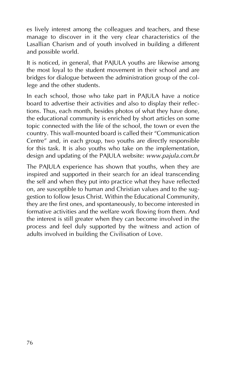es lively interest among the colleagues and teachers, and these manage to discover in it the very clear characteristics of the Lasallian Charism and of youth involved in building a different and possible world.

It is noticed, in general, that PAJULA youths are likewise among the most loyal to the student movement in their school and are bridges for dialogue between the administration group of the college and the other students.

In each school, those who take part in PAJULA have a notice board to advertise their activities and also to display their reflections. Thus, each month, besides photos of what they have done, the educational community is enriched by short articles on some topic connected with the life of the school, the town or even the country. This wall-mounted board is called their "Communication Centre" and, in each group, two youths are directly responsible for this task. It is also youths who take on the implementation, design and updating of the PAJULA website: *www.pajula.com.br*

The PAJULA experience has shown that youths, when they are inspired and supported in their search for an ideal transcending the self and when they put into practice what they have reflected on, are susceptible to human and Christian values and to the suggestion to follow Jesus Christ. Within the Educational Community, they are the first ones, and spontaneously, to become interested in formative activities and the welfare work flowing from them. And the interest is still greater when they can become involved in the process and feel duly supported by the witness and action of adults involved in building the Civilisation of Love.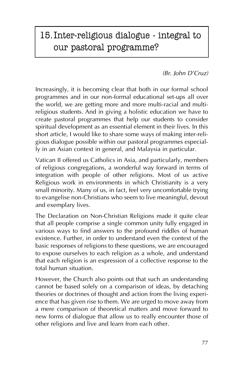# 15.Inter-religious dialogue - integral to our pastoral programme?

## *(Br. John D'Cruz)*

Increasingly, it is becoming clear that both in our formal school programmes and in our non-formal educational set-ups all over the world, we are getting more and more multi-racial and multireligious students. And in giving a holistic education we have to create pastoral programmes that help our students to consider spiritual development as an essential element in their lives. In this short article, I would like to share some ways of making inter-religious dialogue possible within our pastoral programmes especially in an Asian context in general, and Malaysia in particular.

Vatican II offered us Catholics in Asia, and particularly, members of religious congregations, a wonderful way forward in terms of integration with people of other religions. Most of us active Religious work in environments in which Christianity is a very small minority. Many of us, in fact, feel very uncomfortable trying to evangelise non-Christians who seem to live meaningful, devout and exemplary lives.

The Declaration on Non-Christian Religions made it quite clear that all people comprise a single common unity fully engaged in various ways to find answers to the profound riddles of human existence. Further, in order to understand even the context of the basic responses of religions to these questions, we are encouraged to expose ourselves to each religion as a whole, and understand that each religion is an expression of a collective response to the total human situation.

However, the Church also points out that such an understanding cannot be based solely on a comparison of ideas, by detaching theories or doctrines of thought and action from the living experience that has given rise to them. We are urged to move away from a mere comparison of theoretical matters and move forward to new forms of dialogue that allow us to really encounter those of other religions and live and learn from each other.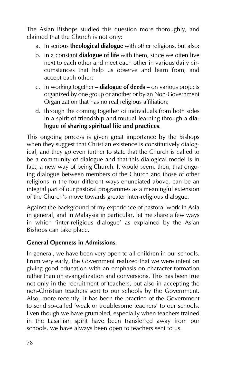The Asian Bishops studied this question more thoroughly, and claimed that the Church is not only:

- a. In serious **theological dialogue** with other religions, but also:
- b. in a constant **dialogue of life** with them, since we often live next to each other and meet each other in various daily circumstances that help us observe and learn from, and accept each other;
- c. in working together **dialogue of deeds** on various projects organized by one group or another or by an Non-Government Organization that has no real religious affiliation;
- d. through the coming together of individuals from both sides in a spirit of friendship and mutual learning through a **dialogue of sharing spiritual life and practices**.

This ongoing process is given great importance by the Bishops when they suggest that Christian existence is constitutively dialogical, and they go even further to state that the Church is called to be a community of dialogue and that this dialogical model is in fact, a new way of being Church. It would seem, then, that ongoing dialogue between members of the Church and those of other religions in the four different ways enunciated above, can be an integral part of our pastoral programmes as a meaningful extension of the Church's move towards greater inter-religious dialogue.

Against the background of my experience of pastoral work in Asia in general, and in Malaysia in particular, let me share a few ways in which 'inter-religious dialogue' as explained by the Asian Bishops can take place.

# **General Openness in Admissions.**

In general, we have been very open to all children in our schools. From very early, the Government realized that we were intent on giving good education with an emphasis on character-formation rather than on evangelization and conversions. This has been true not only in the recruitment of teachers, but also in accepting the non-Christian teachers sent to our schools by the Government. Also, more recently, it has been the practice of the Government to send so-called 'weak or troublesome teachers' to our schools. Even though we have grumbled, especially when teachers trained in the Lasallian spirit have been transferred away from our schools, we have always been open to teachers sent to us.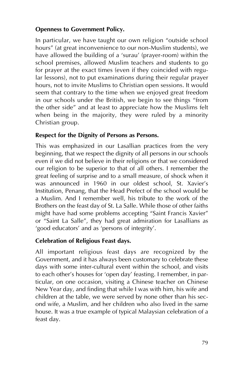### **Openness to Government Policy.**

In particular, we have taught our own religion "outside school hours" (at great inconvenience to our non-Muslim students), we have allowed the building of a 'surau' (prayer-room) within the school premises, allowed Muslim teachers and students to go for prayer at the exact times (even if they coincided with regular lessons), not to put examinations during their regular prayer hours, not to invite Muslims to Christian open sessions. It would seem that contrary to the time when we enjoyed great freedom in our schools under the British, we begin to see things "from the other side" and at least to appreciate how the Muslims felt when being in the majority, they were ruled by a minority Christian group.

### **Respect for the Dignity of Persons as Persons.**

This was emphasized in our Lasallian practices from the very beginning, that we respect the dignity of all persons in our schools even if we did not believe in their religions or that we considered our religion to be superior to that of all others. I remember the great feeling of surprise and to a small measure, of shock when it was announced in 1960 in our oldest school, St. Xavier's Institution, Penang, that the Head Prefect of the school would be a Muslim. And I remember well, his tribute to the work of the Brothers on the feast day of St. La Salle. While those of other faiths might have had some problems accepting "Saint Francis Xavier" or "Saint La Salle", they had great admiration for Lasallians as 'good educators' and as 'persons of integrity'.

### **Celebration of Religious Feast days.**

All important religious feast days are recognized by the Government, and it has always been customary to celebrate these days with some inter-cultural event within the school, and visits to each other's houses for 'open day' feasting. I remember, in particular, on one occasion, visiting a Chinese teacher on Chinese New Year day, and finding that while I was with him, his wife and children at the table, we were served by none other than his second wife, a Muslim, and her children who also lived in the same house. It was a true example of typical Malaysian celebration of a feast day.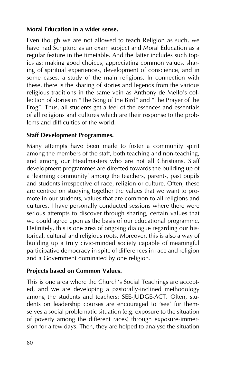### **Moral Education in a wider sense.**

Even though we are not allowed to teach Religion as such, we have had Scripture as an exam subject and Moral Education as a regular feature in the timetable. And the latter includes such topics as: making good choices, appreciating common values, sharing of spiritual experiences, development of conscience, and in some cases, a study of the main religions. In connection with these, there is the sharing of stories and legends from the various religious traditions in the same vein as Anthony de Mello's collection of stories in "The Song of the Bird" and "The Prayer of the Frog". Thus, all students get a feel of the essences and essentials of all religions and cultures which are their response to the problems and difficulties of the world.

### **Staff Development Programmes.**

Many attempts have been made to foster a community spirit among the members of the staff, both teaching and non-teaching, and among our Headmasters who are not all Christians. Staff development programmes are directed towards the building up of a 'learning community' among the teachers, parents, past pupils and students irrespective of race, religion or culture. Often, these are centred on studying together the values that we want to promote in our students, values that are common to all religions and cultures. I have personally conducted sessions where there were serious attempts to discover through sharing, certain values that we could agree upon as the basis of our educational programme. Definitely, this is one area of ongoing dialogue regarding our historical, cultural and religious roots. Moreover, this is also a way of building up a truly civic-minded society capable of meaningful participative democracy in spite of differences in race and religion and a Government dominated by one religion.

#### **Projects based on Common Values.**

This is one area where the Church's Social Teachings are accepted, and we are developing a pastorally-inclined methodology among the students and teachers: SEE-JUDGE-ACT. Often, students on leadership courses are encouraged to 'see' for themselves a social problematic situation (e.g. exposure to the situation of poverty among the different races) through exposure-immersion for a few days. Then, they are helped to analyse the situation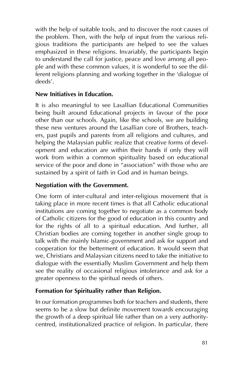with the help of suitable tools, and to discover the root causes of the problem. Then, with the help of input from the various religious traditions the participants are helped to see the values emphasized in these religions. Invariably, the participants begin to understand the call for justice, peace and love among all people and with these common values, it is wonderful to see the different religions planning and working together in the 'dialogue of deeds'.

### **New Initiatives in Education.**

It is also meaningful to see Lasallian Educational Communities being built around Educational projects in favour of the poor other than our schools. Again, like the schools, we are building these new ventures around the Lasallian core of Brothers, teachers, past pupils and parents from all religions and cultures, and helping the Malaysian public realize that creative forms of development and education are within their hands if only they will work from within a common spirituality based on educational service of the poor and done in "association" with those who are sustained by a spirit of faith in God and in human beings.

### **Negotiation with the Government.**

One form of inter-cultural and inter-religious movement that is taking place in more recent times is that all Catholic educational institutions are coming together to negotiate as a common body of Catholic citizens for the good of education in this country and for the rights of all to a spiritual education. And further, all Christian bodies are coming together in another single group to talk with the mainly Islamic-government and ask for support and cooperation for the betterment of education. It would seem that we, Christians and Malaysian citizens need to take the initiative to dialogue with the essentially Muslim Government and help them see the reality of occasional religious intolerance and ask for a greater openness to the spiritual needs of others.

### **Formation for Spirituality rather than Religion.**

In our formation programmes both for teachers and students, there seems to be a slow but definite movement towards encouraging the growth of a deep spiritual life rather than on a very authoritycentred, institutionalized practice of religion. In particular, there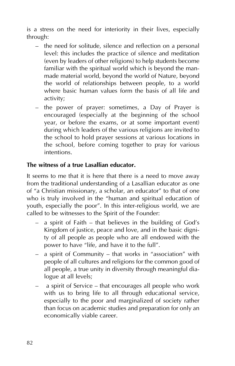is a stress on the need for interiority in their lives, especially through:

- the need for solitude, silence and reflection on a personal level: this includes the practice of silence and meditation (even by leaders of other religions) to help students become familiar with the spiritual world which is beyond the manmade material world, beyond the world of Nature, beyond the world of relationships between people, to a world where basic human values form the basis of all life and activity;
- the power of prayer: sometimes, a Day of Prayer is encouraged (especially at the beginning of the school year, or before the exams, or at some important event) during which leaders of the various religions are invited to the school to hold prayer sessions at various locations in the school, before coming together to pray for various intentions.

#### **The witness of a true Lasallian educator.**

It seems to me that it is here that there is a need to move away from the traditional understanding of a Lasallian educator as one of "a Christian missionary, a scholar, an educator" to that of one who is truly involved in the "human and spiritual education of youth, especially the poor". In this inter-religious world, we are called to be witnesses to the Spirit of the Founder:

- a spirit of Faith that believes in the building of God's Kingdom of justice, peace and love, and in the basic dignity of all people as people who are all endowed with the power to have "life, and have it to the full".
- a spirit of Community that works in "association" with people of all cultures and religions for the common good of all people, a true unity in diversity through meaningful dialogue at all levels;
- a spirit of Service that encourages all people who work with us to bring life to all through educational service, especially to the poor and marginalized of society rather than focus on academic studies and preparation for only an economically viable career.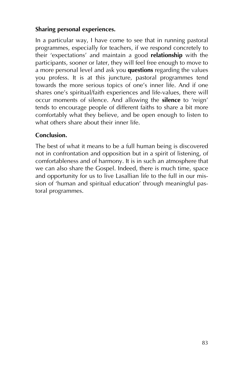### **Sharing personal experiences.**

In a particular way, I have come to see that in running pastoral programmes, especially for teachers, if we respond concretely to their 'expectations' and maintain a good **relationship** with the participants, sooner or later, they will feel free enough to move to a more personal level and ask you **questions** regarding the values you profess. It is at this juncture, pastoral programmes tend towards the more serious topics of one's inner life. And if one shares one's spiritual/faith experiences and life-values, there will occur moments of silence. And allowing the **silence** to 'reign' tends to encourage people of different faiths to share a bit more comfortably what they believe, and be open enough to listen to what others share about their inner life.

### **Conclusion.**

The best of what it means to be a full human being is discovered not in confrontation and opposition but in a spirit of listening, of comfortableness and of harmony. It is in such an atmosphere that we can also share the Gospel. Indeed, there is much time, space and opportunity for us to live Lasallian life to the full in our mission of 'human and spiritual education' through meaningful pastoral programmes.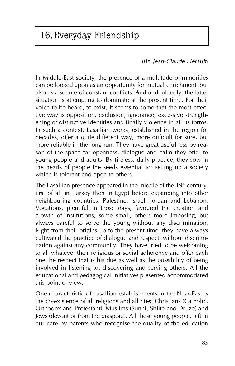# 16.Everyday Friendship

*(Br. Jean-Claude Hérault)*

In Middle-East society, the presence of a multitude of minorities can be looked upon as an opportunity for mutual enrichment, but also as a source of constant conflicts. And undoubtedly, the latter situation is attempting to dominate at the present time. For their voice to be heard, to exist, it seems to some that the most effective way is opposition, exclusion, ignorance, excessive strengthening of distinctive identities and finally violence in all its forms. In such a context, Lasallian works, established in the region for decades, offer a quite different way, more difficult for sure, but more reliable in the long run. They have great usefulness by reason of the space for openness, dialogue and calm they offer to young people and adults. By tireless, daily practice, they sow in the hearts of people the seeds essential for setting up a society which is tolerant and open to others.

The Lasallian presence appeared in the middle of the  $19<sup>th</sup>$  century, first of all in Turkey then in Egypt before expanding into other neighbouring countries: Palestine, Israel, Jordan and Lebanon. Vocations, plentiful in those days, favoured the creation and growth of institutions, some small, others more imposing, but always careful to serve the young without any discrimination. Right from their origins up to the present time, they have always cultivated the practice of dialogue and respect, without discrimination against any community. They have tried to be welcoming to all whatever their religious or social adherence and offer each one the respect that is his due as well as the possibility of being involved in listening to, discovering and serving others. All the educational and pedagogical initiatives presented accommodated this point of view.

One characteristic of Lasallian establishments in the Near-East is the co-existence of all religions and all rites: Christians (Catholic, Orthodox and Protestant), Muslims (Sunni, Shiite and Druze) and Jews (devout or from the diaspora). All these young people, left in our care by parents who recognise the quality of the education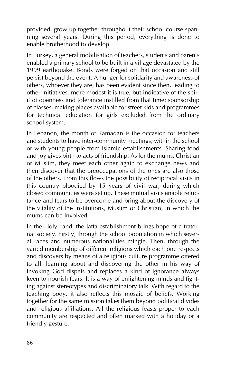provided, grow up together throughout their school course spanning several years. During this period, everything is done to enable brotherhood to develop.

In Turkey, a general mobilisation of teachers, students and parents enabled a primary school to be built in a village devastated by the 1999 earthquake. Bonds were forged on that occasion and still persist beyond the event. A hunger for solidarity and awareness of others, whoever they are, has been evident since then, leading to other initiatives, more modest it is true, but indicative of the spirit of openness and tolerance instilled from that time: sponsorship of classes, making places available for street kids and programmes for technical education for girls excluded from the ordinary school system.

In Lebanon, the month of Ramadan is the occasion for teachers and students to have inter-community meetings, within the school or with young people from Islamic establishments. Sharing food and joy gives birth to acts of friendship. As for the mums, Christian or Muslim, they meet each other again to exchange news and then discover that the preoccupations of the ones are also those of the others. From this flows the possibility of reciprocal visits in this country bloodied by 15 years of civil war, during which closed communities were set up. These mutual visits enable reluctance and fears to be overcome and bring about the discovery of the vitality of the institutions, Muslim or Christian, in which the mums can be involved.

In the Holy Land, the Jaffa establishment brings hope of a fraternal society. Firstly, through the school population in which several races and numerous nationalities mingle. Then, through the varied membership of different religions which each one respects and discovers by means of a religious culture programme offered to all: learning about and discovering the other in his way of invoking God dispels and replaces a kind of ignorance always keen to nourish fears. It is a way of enlightening minds and fighting against stereotypes and discriminatory talk. With regard to the teaching body, it also reflects this mosaic of beliefs. Working together for the same mission takes them beyond political divides and religious affiliations. All the religious feasts proper to each community are respected and often marked with a holiday or a friendly gesture.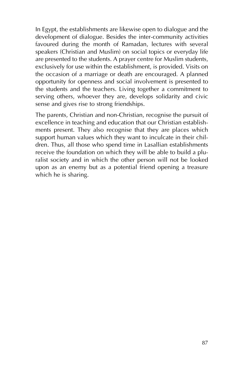In Egypt, the establishments are likewise open to dialogue and the development of dialogue. Besides the inter-community activities favoured during the month of Ramadan, lectures with several speakers (Christian and Muslim) on social topics or everyday life are presented to the students. A prayer centre for Muslim students, exclusively for use within the establishment, is provided. Visits on the occasion of a marriage or death are encouraged. A planned opportunity for openness and social involvement is presented to the students and the teachers. Living together a commitment to serving others, whoever they are, develops solidarity and civic sense and gives rise to strong friendships.

The parents, Christian and non-Christian, recognise the pursuit of excellence in teaching and education that our Christian establishments present. They also recognise that they are places which support human values which they want to inculcate in their children. Thus, all those who spend time in Lasallian establishments receive the foundation on which they will be able to build a pluralist society and in which the other person will not be looked upon as an enemy but as a potential friend opening a treasure which he is sharing.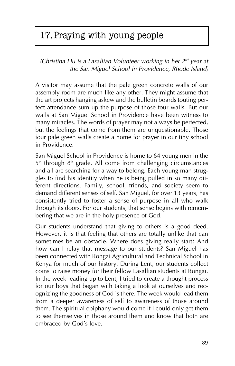# 17.Praying with young people

*(Christina Hu is a Lasallian Volunteer working in her 2nd year at the San Miguel School in Providence, Rhode Island)*

A visitor may assume that the pale green concrete walls of our assembly room are much like any other. They might assume that the art projects hanging askew and the bulletin boards touting perfect attendance sum up the purpose of those four walls. But our walls at San Miguel School in Providence have been witness to many miracles. The words of prayer may not always be perfected, but the feelings that come from them are unquestionable. Those four pale green walls create a home for prayer in our tiny school in Providence.

San Miguel School in Providence is home to 64 young men in the  $5<sup>th</sup>$  through  $8<sup>th</sup>$  grade. All come from challenging circumstances and all are searching for a way to belong. Each young man struggles to find his identity when he is being pulled in so many different directions. Family, school, friends, and society seem to demand different senses of self. San Miguel, for over 13 years, has consistently tried to foster a sense of purpose in all who walk through its doors. For our students, that sense begins with remembering that we are in the holy presence of God.

Our students understand that giving to others is a good deed. However, it is that feeling that others are totally unlike that can sometimes be an obstacle. Where does giving really start? And how can I relay that message to our students? San Miguel has been connected with Rongai Agricultural and Technical School in Kenya for much of our history. During Lent, our students collect coins to raise money for their fellow Lasallian students at Rongai. In the week leading up to Lent, I tried to create a thought process for our boys that began with taking a look at ourselves and recognizing the goodness of God is there. The week would lead them from a deeper awareness of self to awareness of those around them. The spiritual epiphany would come if I could only get them to see themselves in those around them and know that both are embraced by God's love.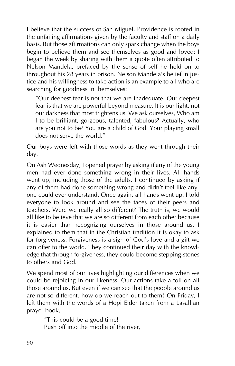I believe that the success of San Miguel, Providence is rooted in the unfailing affirmations given by the faculty and staff on a daily basis. But those affirmations can only spark change when the boys begin to believe them and see themselves as good and loved: I began the week by sharing with them a quote often attributed to Nelson Mandela, prefaced by the sense of self he held on to throughout his 28 years in prison. Nelson Mandela's belief in justice and his willingness to take action is an example to all who are searching for goodness in themselves:

"Our deepest fear is not that we are inadequate. Our deepest fear is that we are powerful beyond measure. It is our light, not our darkness that most frightens us. We ask ourselves, Who am I to be brilliant, gorgeous, talented, fabulous? Actually, who are you not to be? You are a child of God. Your playing small does not serve the world."

Our boys were left with those words as they went through their day.

On Ash Wednesday, I opened prayer by asking if any of the young men had ever done something wrong in their lives. All hands went up, including those of the adults. I continued by asking if any of them had done something wrong and didn't feel like anyone could ever understand. Once again, all hands went up. I told everyone to look around and see the faces of their peers and teachers. Were we really all so different? The truth is, we would all like to believe that we are so different from each other because it is easier than recognizing ourselves in those around us. I explained to them that in the Christian tradition it is okay to ask for forgiveness. Forgiveness is a sign of God's love and a gift we can offer to the world. They continued their day with the knowledge that through forgiveness, they could become stepping-stones to others and God.

We spend most of our lives highlighting our differences when we could be rejoicing in our likeness. Our actions take a toll on all those around us. But even if we can see that the people around us are not so different, how do we reach out to them? On Friday, I left them with the words of a Hopi Elder taken from a Lasallian prayer book,

"This could be a good time! Push off into the middle of the river,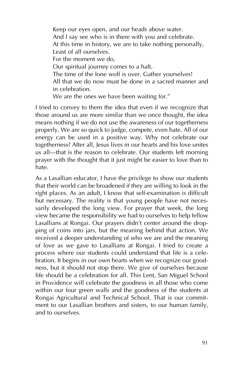Keep our eyes open, and our heads above water. And I say see who is in there with you and celebrate. At this time in history, we are to take nothing personally, Least of all ourselves. For the moment we do, Our spiritual journey comes to a halt. The time of the lone wolf is over. Gather yourselves! All that we do now must be done in a sacred manner and in celebration. We are the ones we have been waiting for."

I tried to convey to them the idea that even if we recognize that those around us are more similar than we once thought, the idea means nothing if we do not use the awareness of our togetherness properly. We are so quick to judge, compete, even hate. All of our energy can be used in a positive way. Why not celebrate our togetherness? After all, Jesus lives in our hearts and his love unites us all–that is the reason to celebrate. Our students left morning prayer with the thought that it just might be easier to love than to hate.

As a Lasallian educator, I have the privilege to show our students that their world can be broadened if they are willing to look in the right places. As an adult, I know that self-examination is difficult but necessary. The reality is that young people have not necessarily developed the long view. For prayer that week, the long view became the responsibility we had to ourselves to help fellow Lasallians at Rongai. Our prayers didn't center around the dropping of coins into jars, but the meaning behind that action. We received a deeper understanding of who we are and the meaning of love as we gave to Lasallians at Rongai. I tried to create a process where our students could understand that life is a celebration. It begins in our own hearts when we recognize our goodness, but it should not stop there. We give of ourselves because life should be a celebration for all. This Lent, San Miguel School in Providence will celebrate the goodness in all those who come within our four green walls and the goodness of the students at Rongai Agricultural and Technical School. That is our commitment to our Lasallian brothers and sisters, to our human family, and to ourselves.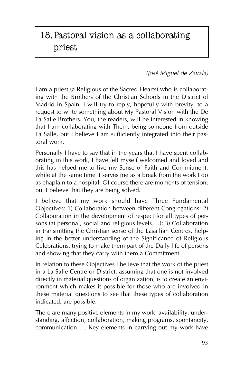# 18.Pastoral vision as a collaborating priest

### *(José Miguel de Zavala)*

I am a priest (a Religious of the Sacred Hearts) who is collaborating with the Brothers of the Christian Schools in the District of Madrid in Spain. I will try to reply, hopefully with brevity, to a request to write something about My Pastoral Vision with the De La Salle Brothers. You, the readers, will be interested in knowing that I am collaborating with Them, being someone from outside La Salle, but I believe I am sufficiently integrated into their pastoral work.

Personally I have to say that in the years that I have spent collaborating in this work, I have felt myself welcomed and loved and this has helped me to live my Sense of Faith and Commitment, while at the same time it serves me as a break from the work I do as chaplain to a hospital. Of course there are moments of tension, but I believe that they are being solved.

I believe that my work should have Three Fundamental Objectives: 1) Collaboration between different Congregations; 2) Collaboration in the development of respect for all types of persons (at personal, social and religious levels….); 3) Collaboration in transmitting the Christian sense of the Lasallian Centres, helping in the better understanding of the Significance of Religious Celebrations, trying to make them part of the Daily life of persons and showing that they carry with them a Commitment.

In relation to these Objectives I believe that the work of the priest in a La Salle Centre or District, assuming that one is not involved directly in material questions of organization, is to create an environment which makes it possible for those who are involved in these material questions to see that these types of collaboration indicated, are possible.

There are many positive elements in my work: availability, understanding, affection, collaboration, making programs, spontaneity, communication….. Key elements in carrying out my work have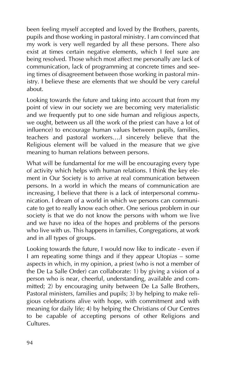been feeling myself accepted and loved by the Brothers, parents, pupils and those working in pastoral ministry. I am convinced that my work is very well regarded by all these persons. There also exist at times certain negative elements, which I feel sure are being resolved. Those which most affect me personally are lack of communication, lack of programming at concrete times and seeing times of disagreement between those working in pastoral ministry. I believe these are elements that we should be very careful about.

Looking towards the future and taking into account that from my point of view in our society we are becoming very materialistic and we frequently put to one side human and religious aspects, we ought, between us all (the work of the priest can have a lot of influence) to encourage human values between pupils, families, teachers and pastoral workers….I sincerely believe that the Religious element will be valued in the measure that we give meaning to human relations between persons.

What will be fundamental for me will be encouraging every type of activity which helps with human relations. I think the key element in Our Society is to arrive at real communication between persons. In a world in which the means of communication are increasing, I believe that there is a lack of interpersonal communication. I dream of a world in which we persons can communicate to get to really know each other. One serious problem in our society is that we do not know the persons with whom we live and we have no idea of the hopes and problems of the persons who live with us. This happens in families, Congregations, at work and in all types of groups.

Looking towards the future, I would now like to indicate - even if I am repeating some things and if they appear Utopias — some aspects in which, in my opinion, a priest (who is not a member of the De La Salle Order) can collaborate: 1) by giving a vision of a person who is near, cheerful, understanding, available and committed; 2) by encouraging unity between De La Salle Brothers, Pastoral ministers, families and pupils; 3) by helping to make religious celebrations alive with hope, with commitment and with meaning for daily life; 4) by helping the Christians of Our Centres to be capable of accepting persons of other Religions and Cultures.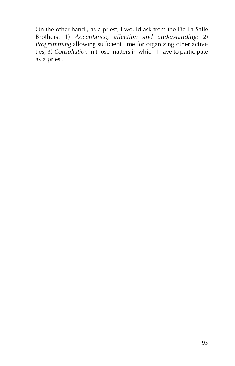On the other hand , as a priest, I would ask from the De La Salle Brothers: 1) *Acceptance, affection and understanding*; 2) *Programming* allowing sufficient time for organizing other activities; 3) *Consultation* in those matters in which I have to participate as a priest.